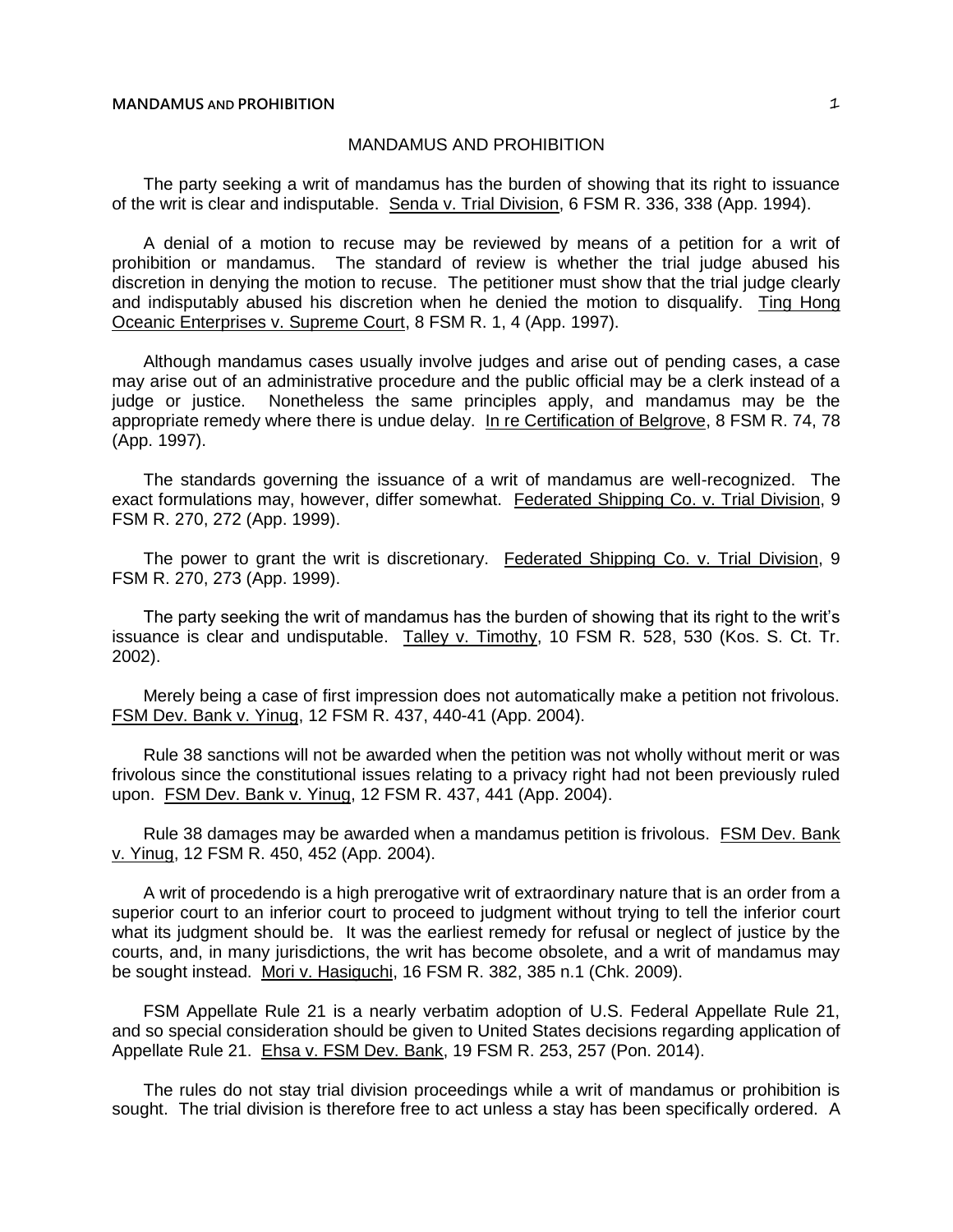# **MANDAMUS AND PROHIBITION** 1

# MANDAMUS AND PROHIBITION

The party seeking a writ of mandamus has the burden of showing that its right to issuance of the writ is clear and indisputable. Senda v. Trial Division, 6 FSM R. 336, 338 (App. 1994).

A denial of a motion to recuse may be reviewed by means of a petition for a writ of prohibition or mandamus. The standard of review is whether the trial judge abused his discretion in denying the motion to recuse. The petitioner must show that the trial judge clearly and indisputably abused his discretion when he denied the motion to disqualify. Ting Hong Oceanic Enterprises v. Supreme Court, 8 FSM R. 1, 4 (App. 1997).

Although mandamus cases usually involve judges and arise out of pending cases, a case may arise out of an administrative procedure and the public official may be a clerk instead of a judge or justice. Nonetheless the same principles apply, and mandamus may be the appropriate remedy where there is undue delay. In re Certification of Belgrove, 8 FSM R. 74, 78 (App. 1997).

The standards governing the issuance of a writ of mandamus are well-recognized. The exact formulations may, however, differ somewhat. Federated Shipping Co. v. Trial Division, 9 FSM R. 270, 272 (App. 1999).

The power to grant the writ is discretionary. Federated Shipping Co. v. Trial Division, 9 FSM R. 270, 273 (App. 1999).

The party seeking the writ of mandamus has the burden of showing that its right to the writ's issuance is clear and undisputable. Talley v. Timothy, 10 FSM R. 528, 530 (Kos. S. Ct. Tr. 2002).

Merely being a case of first impression does not automatically make a petition not frivolous. FSM Dev. Bank v. Yinug, 12 FSM R. 437, 440-41 (App. 2004).

Rule 38 sanctions will not be awarded when the petition was not wholly without merit or was frivolous since the constitutional issues relating to a privacy right had not been previously ruled upon. FSM Dev. Bank v. Yinug, 12 FSM R. 437, 441 (App. 2004).

Rule 38 damages may be awarded when a mandamus petition is frivolous. FSM Dev. Bank v. Yinug, 12 FSM R. 450, 452 (App. 2004).

A writ of procedendo is a high prerogative writ of extraordinary nature that is an order from a superior court to an inferior court to proceed to judgment without trying to tell the inferior court what its judgment should be. It was the earliest remedy for refusal or neglect of justice by the courts, and, in many jurisdictions, the writ has become obsolete, and a writ of mandamus may be sought instead. Mori v. Hasiguchi, 16 FSM R. 382, 385 n.1 (Chk. 2009).

FSM Appellate Rule 21 is a nearly verbatim adoption of U.S. Federal Appellate Rule 21, and so special consideration should be given to United States decisions regarding application of Appellate Rule 21. Ehsa v. FSM Dev. Bank, 19 FSM R. 253, 257 (Pon. 2014).

The rules do not stay trial division proceedings while a writ of mandamus or prohibition is sought. The trial division is therefore free to act unless a stay has been specifically ordered. A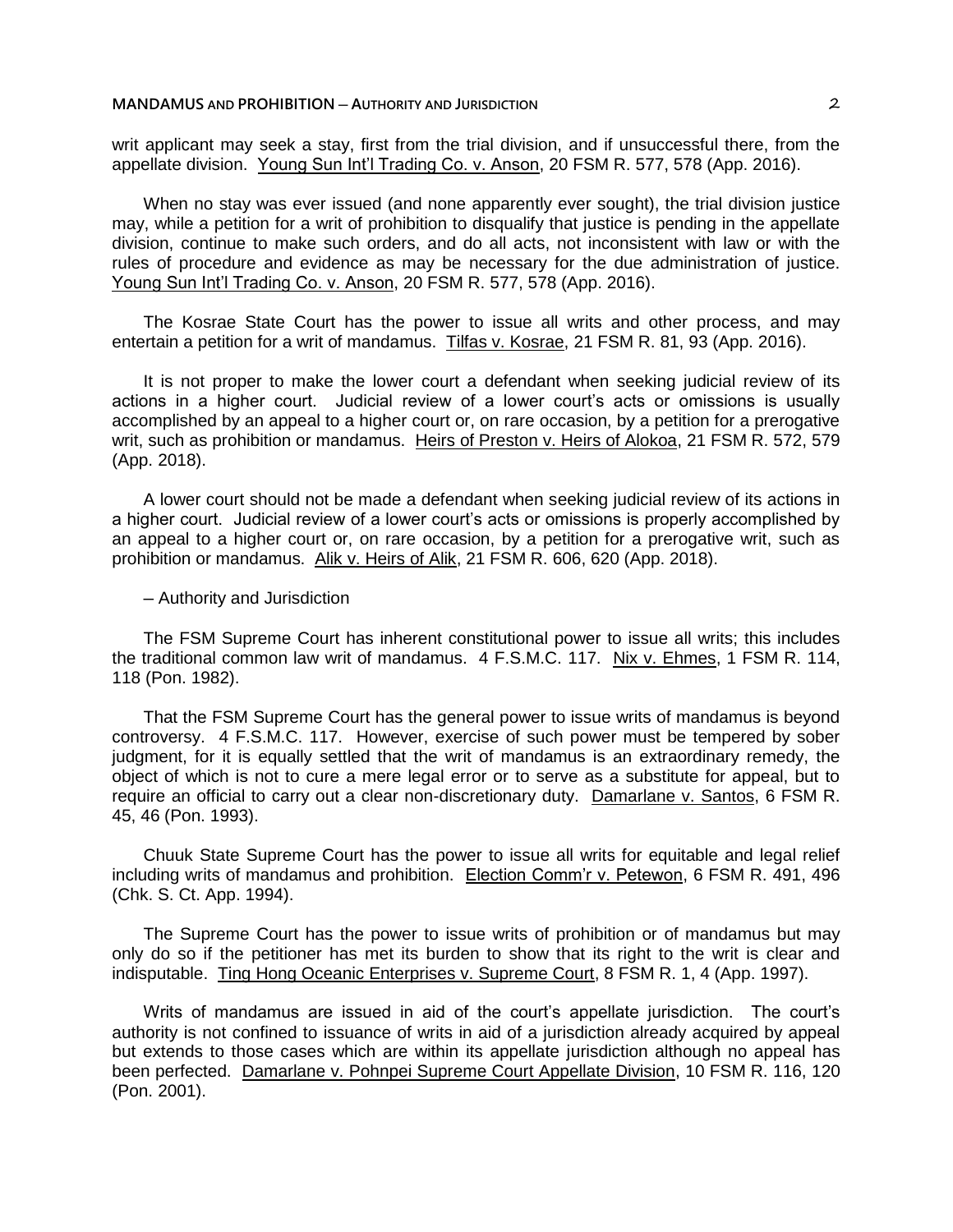writ applicant may seek a stay, first from the trial division, and if unsuccessful there, from the appellate division. Young Sun Int'l Trading Co. v. Anson, 20 FSM R. 577, 578 (App. 2016).

When no stay was ever issued (and none apparently ever sought), the trial division justice may, while a petition for a writ of prohibition to disqualify that justice is pending in the appellate division, continue to make such orders, and do all acts, not inconsistent with law or with the rules of procedure and evidence as may be necessary for the due administration of justice. Young Sun Int'l Trading Co. v. Anson, 20 FSM R. 577, 578 (App. 2016).

The Kosrae State Court has the power to issue all writs and other process, and may entertain a petition for a writ of mandamus. Tilfas v. Kosrae, 21 FSM R. 81, 93 (App. 2016).

It is not proper to make the lower court a defendant when seeking judicial review of its actions in a higher court. Judicial review of a lower court's acts or omissions is usually accomplished by an appeal to a higher court or, on rare occasion, by a petition for a prerogative writ, such as prohibition or mandamus. Heirs of Preston v. Heirs of Alokoa, 21 FSM R. 572, 579 (App. 2018).

A lower court should not be made a defendant when seeking judicial review of its actions in a higher court. Judicial review of a lower court's acts or omissions is properly accomplished by an appeal to a higher court or, on rare occasion, by a petition for a prerogative writ, such as prohibition or mandamus. Alik v. Heirs of Alik, 21 FSM R. 606, 620 (App. 2018).

─ Authority and Jurisdiction

The FSM Supreme Court has inherent constitutional power to issue all writs; this includes the traditional common law writ of mandamus. 4 F.S.M.C. 117. Nix v. Ehmes, 1 FSM R. 114, 118 (Pon. 1982).

That the FSM Supreme Court has the general power to issue writs of mandamus is beyond controversy. 4 F.S.M.C. 117. However, exercise of such power must be tempered by sober judgment, for it is equally settled that the writ of mandamus is an extraordinary remedy, the object of which is not to cure a mere legal error or to serve as a substitute for appeal, but to require an official to carry out a clear non-discretionary duty. Damarlane v. Santos, 6 FSM R. 45, 46 (Pon. 1993).

Chuuk State Supreme Court has the power to issue all writs for equitable and legal relief including writs of mandamus and prohibition. Election Comm'r v. Petewon, 6 FSM R. 491, 496 (Chk. S. Ct. App. 1994).

The Supreme Court has the power to issue writs of prohibition or of mandamus but may only do so if the petitioner has met its burden to show that its right to the writ is clear and indisputable. Ting Hong Oceanic Enterprises v. Supreme Court, 8 FSM R. 1, 4 (App. 1997).

Writs of mandamus are issued in aid of the court's appellate jurisdiction. The court's authority is not confined to issuance of writs in aid of a jurisdiction already acquired by appeal but extends to those cases which are within its appellate jurisdiction although no appeal has been perfected. Damarlane v. Pohnpei Supreme Court Appellate Division, 10 FSM R. 116, 120 (Pon. 2001).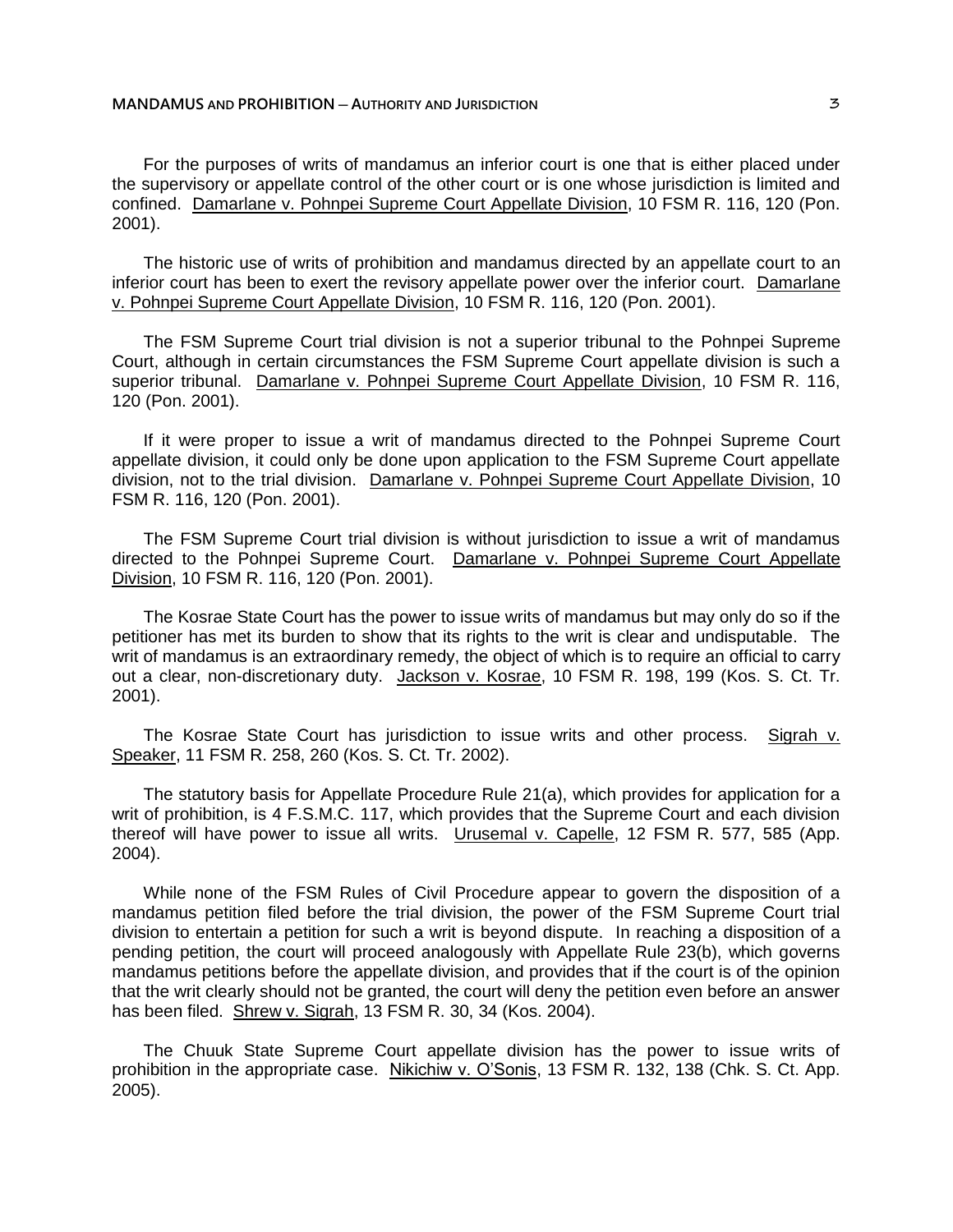# **MANDAMUS AND PROHIBITION ─ AUTHORITY AND JURISDICTION** 3

For the purposes of writs of mandamus an inferior court is one that is either placed under the supervisory or appellate control of the other court or is one whose jurisdiction is limited and confined. Damarlane v. Pohnpei Supreme Court Appellate Division, 10 FSM R. 116, 120 (Pon. 2001).

The historic use of writs of prohibition and mandamus directed by an appellate court to an inferior court has been to exert the revisory appellate power over the inferior court. Damarlane v. Pohnpei Supreme Court Appellate Division, 10 FSM R. 116, 120 (Pon. 2001).

The FSM Supreme Court trial division is not a superior tribunal to the Pohnpei Supreme Court, although in certain circumstances the FSM Supreme Court appellate division is such a superior tribunal. Damarlane v. Pohnpei Supreme Court Appellate Division, 10 FSM R. 116, 120 (Pon. 2001).

If it were proper to issue a writ of mandamus directed to the Pohnpei Supreme Court appellate division, it could only be done upon application to the FSM Supreme Court appellate division, not to the trial division. Damarlane v. Pohnpei Supreme Court Appellate Division, 10 FSM R. 116, 120 (Pon. 2001).

The FSM Supreme Court trial division is without jurisdiction to issue a writ of mandamus directed to the Pohnpei Supreme Court. Damarlane v. Pohnpei Supreme Court Appellate Division, 10 FSM R. 116, 120 (Pon. 2001).

The Kosrae State Court has the power to issue writs of mandamus but may only do so if the petitioner has met its burden to show that its rights to the writ is clear and undisputable. The writ of mandamus is an extraordinary remedy, the object of which is to require an official to carry out a clear, non-discretionary duty. Jackson v. Kosrae, 10 FSM R. 198, 199 (Kos. S. Ct. Tr. 2001).

The Kosrae State Court has jurisdiction to issue writs and other process. Sigrah v. Speaker, 11 FSM R. 258, 260 (Kos. S. Ct. Tr. 2002).

The statutory basis for Appellate Procedure Rule 21(a), which provides for application for a writ of prohibition, is 4 F.S.M.C. 117, which provides that the Supreme Court and each division thereof will have power to issue all writs. Urusemal v. Capelle, 12 FSM R. 577, 585 (App. 2004).

While none of the FSM Rules of Civil Procedure appear to govern the disposition of a mandamus petition filed before the trial division, the power of the FSM Supreme Court trial division to entertain a petition for such a writ is beyond dispute. In reaching a disposition of a pending petition, the court will proceed analogously with Appellate Rule 23(b), which governs mandamus petitions before the appellate division, and provides that if the court is of the opinion that the writ clearly should not be granted, the court will deny the petition even before an answer has been filed. Shrew v. Sigrah, 13 FSM R. 30, 34 (Kos. 2004).

The Chuuk State Supreme Court appellate division has the power to issue writs of prohibition in the appropriate case. Nikichiw v. O'Sonis, 13 FSM R. 132, 138 (Chk. S. Ct. App. 2005).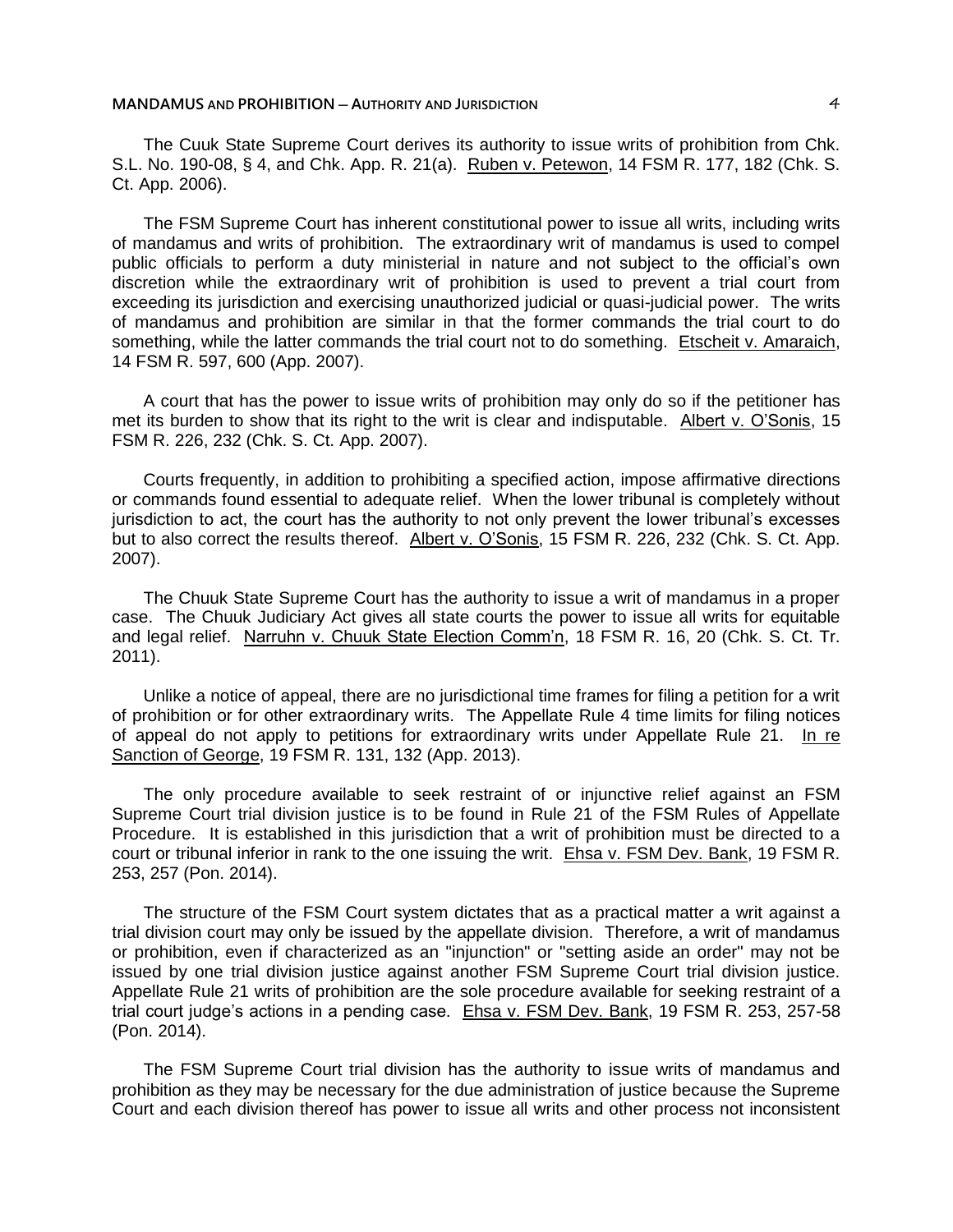#### **MANDAMUS AND PROHIBITION ─ AUTHORITY AND JURISDICTION** 4

The Cuuk State Supreme Court derives its authority to issue writs of prohibition from Chk. S.L. No. 190-08, § 4, and Chk. App. R. 21(a). Ruben v. Petewon, 14 FSM R. 177, 182 (Chk. S. Ct. App. 2006).

The FSM Supreme Court has inherent constitutional power to issue all writs, including writs of mandamus and writs of prohibition. The extraordinary writ of mandamus is used to compel public officials to perform a duty ministerial in nature and not subject to the official's own discretion while the extraordinary writ of prohibition is used to prevent a trial court from exceeding its jurisdiction and exercising unauthorized judicial or quasi-judicial power. The writs of mandamus and prohibition are similar in that the former commands the trial court to do something, while the latter commands the trial court not to do something. Etscheit v. Amaraich, 14 FSM R. 597, 600 (App. 2007).

A court that has the power to issue writs of prohibition may only do so if the petitioner has met its burden to show that its right to the writ is clear and indisputable. Albert v. O'Sonis, 15 FSM R. 226, 232 (Chk. S. Ct. App. 2007).

Courts frequently, in addition to prohibiting a specified action, impose affirmative directions or commands found essential to adequate relief. When the lower tribunal is completely without jurisdiction to act, the court has the authority to not only prevent the lower tribunal's excesses but to also correct the results thereof. Albert v. O'Sonis, 15 FSM R. 226, 232 (Chk. S. Ct. App. 2007).

The Chuuk State Supreme Court has the authority to issue a writ of mandamus in a proper case. The Chuuk Judiciary Act gives all state courts the power to issue all writs for equitable and legal relief. Narruhn v. Chuuk State Election Comm'n, 18 FSM R. 16, 20 (Chk. S. Ct. Tr. 2011).

Unlike a notice of appeal, there are no jurisdictional time frames for filing a petition for a writ of prohibition or for other extraordinary writs. The Appellate Rule 4 time limits for filing notices of appeal do not apply to petitions for extraordinary writs under Appellate Rule 21. In re Sanction of George, 19 FSM R. 131, 132 (App. 2013).

The only procedure available to seek restraint of or injunctive relief against an FSM Supreme Court trial division justice is to be found in Rule 21 of the FSM Rules of Appellate Procedure. It is established in this jurisdiction that a writ of prohibition must be directed to a court or tribunal inferior in rank to the one issuing the writ. Ehsa v. FSM Dev. Bank, 19 FSM R. 253, 257 (Pon. 2014).

The structure of the FSM Court system dictates that as a practical matter a writ against a trial division court may only be issued by the appellate division. Therefore, a writ of mandamus or prohibition, even if characterized as an "injunction" or "setting aside an order" may not be issued by one trial division justice against another FSM Supreme Court trial division justice. Appellate Rule 21 writs of prohibition are the sole procedure available for seeking restraint of a trial court judge's actions in a pending case. Ehsa v. FSM Dev. Bank, 19 FSM R. 253, 257-58 (Pon. 2014).

The FSM Supreme Court trial division has the authority to issue writs of mandamus and prohibition as they may be necessary for the due administration of justice because the Supreme Court and each division thereof has power to issue all writs and other process not inconsistent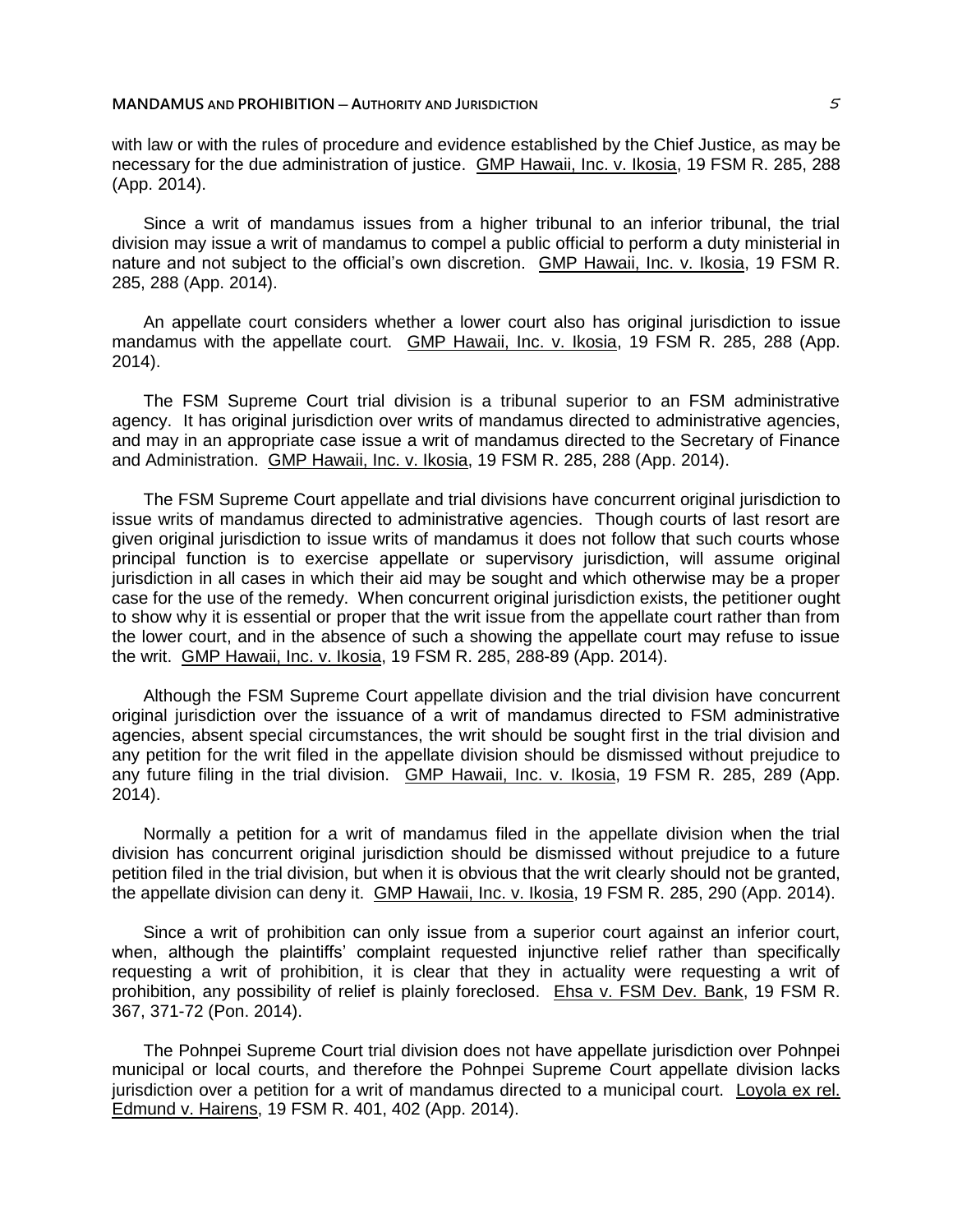# **MANDAMUS AND PROHIBITION ─ AUTHORITY AND JURISDICTION** 5

with law or with the rules of procedure and evidence established by the Chief Justice, as may be necessary for the due administration of justice. GMP Hawaii, Inc. v. Ikosia, 19 FSM R. 285, 288 (App. 2014).

Since a writ of mandamus issues from a higher tribunal to an inferior tribunal, the trial division may issue a writ of mandamus to compel a public official to perform a duty ministerial in nature and not subject to the official's own discretion. GMP Hawaii, Inc. v. Ikosia, 19 FSM R. 285, 288 (App. 2014).

An appellate court considers whether a lower court also has original jurisdiction to issue mandamus with the appellate court. GMP Hawaii, Inc. v. Ikosia, 19 FSM R. 285, 288 (App. 2014).

The FSM Supreme Court trial division is a tribunal superior to an FSM administrative agency. It has original jurisdiction over writs of mandamus directed to administrative agencies, and may in an appropriate case issue a writ of mandamus directed to the Secretary of Finance and Administration. GMP Hawaii, Inc. v. Ikosia, 19 FSM R. 285, 288 (App. 2014).

The FSM Supreme Court appellate and trial divisions have concurrent original jurisdiction to issue writs of mandamus directed to administrative agencies. Though courts of last resort are given original jurisdiction to issue writs of mandamus it does not follow that such courts whose principal function is to exercise appellate or supervisory jurisdiction, will assume original jurisdiction in all cases in which their aid may be sought and which otherwise may be a proper case for the use of the remedy. When concurrent original jurisdiction exists, the petitioner ought to show why it is essential or proper that the writ issue from the appellate court rather than from the lower court, and in the absence of such a showing the appellate court may refuse to issue the writ. GMP Hawaii, Inc. v. Ikosia, 19 FSM R. 285, 288-89 (App. 2014).

Although the FSM Supreme Court appellate division and the trial division have concurrent original jurisdiction over the issuance of a writ of mandamus directed to FSM administrative agencies, absent special circumstances, the writ should be sought first in the trial division and any petition for the writ filed in the appellate division should be dismissed without prejudice to any future filing in the trial division. GMP Hawaii, Inc. v. Ikosia, 19 FSM R. 285, 289 (App. 2014).

Normally a petition for a writ of mandamus filed in the appellate division when the trial division has concurrent original jurisdiction should be dismissed without prejudice to a future petition filed in the trial division, but when it is obvious that the writ clearly should not be granted, the appellate division can deny it. GMP Hawaii, Inc. v. Ikosia, 19 FSM R. 285, 290 (App. 2014).

Since a writ of prohibition can only issue from a superior court against an inferior court, when, although the plaintiffs' complaint requested injunctive relief rather than specifically requesting a writ of prohibition, it is clear that they in actuality were requesting a writ of prohibition, any possibility of relief is plainly foreclosed. Ehsa v. FSM Dev. Bank, 19 FSM R. 367, 371-72 (Pon. 2014).

The Pohnpei Supreme Court trial division does not have appellate jurisdiction over Pohnpei municipal or local courts, and therefore the Pohnpei Supreme Court appellate division lacks jurisdiction over a petition for a writ of mandamus directed to a municipal court. Loyola ex rel. Edmund v. Hairens, 19 FSM R. 401, 402 (App. 2014).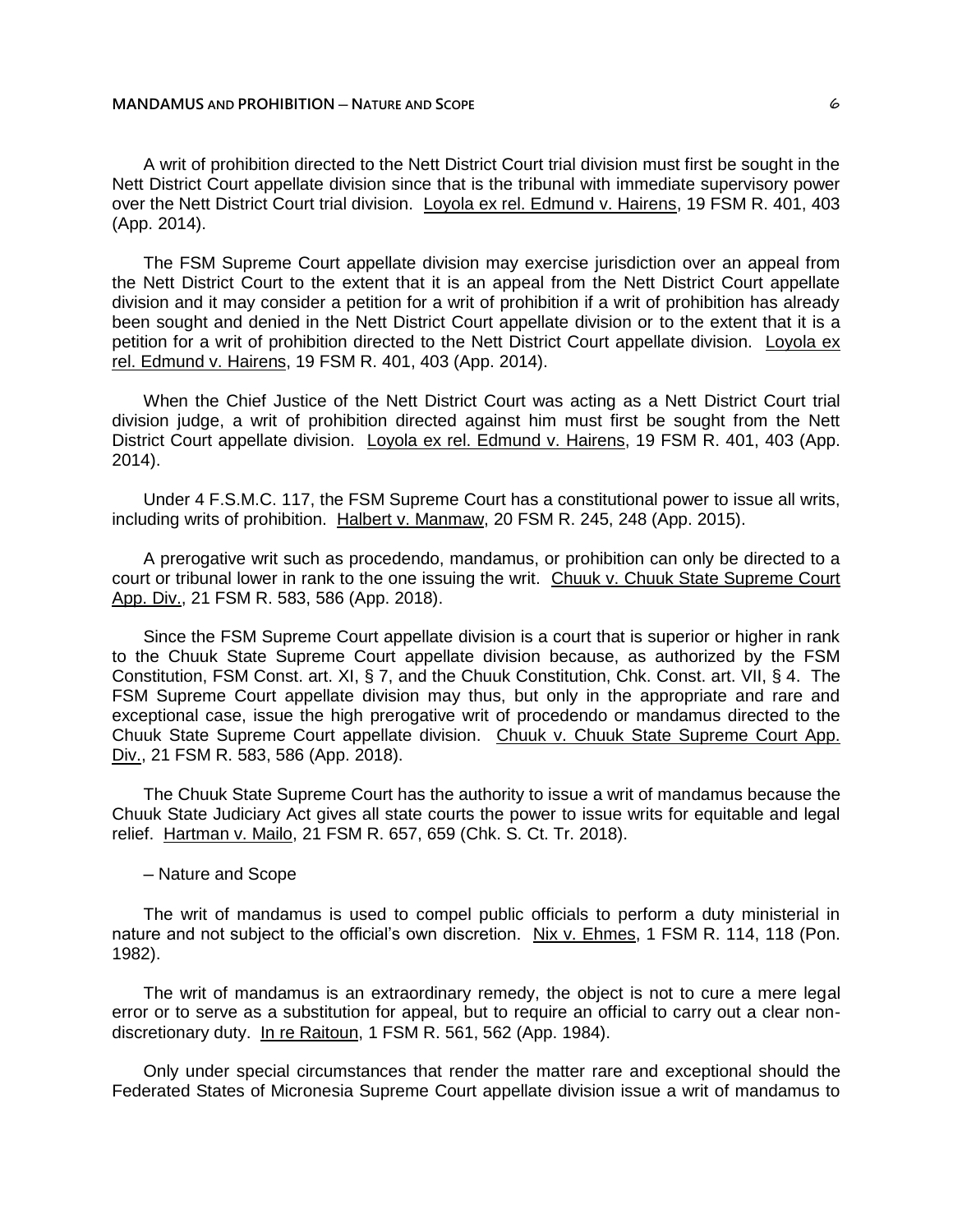A writ of prohibition directed to the Nett District Court trial division must first be sought in the Nett District Court appellate division since that is the tribunal with immediate supervisory power over the Nett District Court trial division. Loyola ex rel. Edmund v. Hairens, 19 FSM R. 401, 403 (App. 2014).

The FSM Supreme Court appellate division may exercise jurisdiction over an appeal from the Nett District Court to the extent that it is an appeal from the Nett District Court appellate division and it may consider a petition for a writ of prohibition if a writ of prohibition has already been sought and denied in the Nett District Court appellate division or to the extent that it is a petition for a writ of prohibition directed to the Nett District Court appellate division. Loyola ex rel. Edmund v. Hairens, 19 FSM R. 401, 403 (App. 2014).

When the Chief Justice of the Nett District Court was acting as a Nett District Court trial division judge, a writ of prohibition directed against him must first be sought from the Nett District Court appellate division. Loyola ex rel. Edmund v. Hairens, 19 FSM R. 401, 403 (App. 2014).

Under 4 F.S.M.C. 117, the FSM Supreme Court has a constitutional power to issue all writs, including writs of prohibition. Halbert v. Manmaw, 20 FSM R. 245, 248 (App. 2015).

A prerogative writ such as procedendo, mandamus, or prohibition can only be directed to a court or tribunal lower in rank to the one issuing the writ. Chuuk v. Chuuk State Supreme Court App. Div., 21 FSM R. 583, 586 (App. 2018).

Since the FSM Supreme Court appellate division is a court that is superior or higher in rank to the Chuuk State Supreme Court appellate division because, as authorized by the FSM Constitution, FSM Const. art. XI, § 7, and the Chuuk Constitution, Chk. Const. art. VII, § 4. The FSM Supreme Court appellate division may thus, but only in the appropriate and rare and exceptional case, issue the high prerogative writ of procedendo or mandamus directed to the Chuuk State Supreme Court appellate division. Chuuk v. Chuuk State Supreme Court App. Div., 21 FSM R. 583, 586 (App. 2018).

The Chuuk State Supreme Court has the authority to issue a writ of mandamus because the Chuuk State Judiciary Act gives all state courts the power to issue writs for equitable and legal relief. Hartman v. Mailo, 21 FSM R. 657, 659 (Chk. S. Ct. Tr. 2018).

#### ─ Nature and Scope

The writ of mandamus is used to compel public officials to perform a duty ministerial in nature and not subject to the official's own discretion. Nix v. Ehmes, 1 FSM R. 114, 118 (Pon. 1982).

The writ of mandamus is an extraordinary remedy, the object is not to cure a mere legal error or to serve as a substitution for appeal, but to require an official to carry out a clear nondiscretionary duty. In re Raitoun, 1 FSM R. 561, 562 (App. 1984).

Only under special circumstances that render the matter rare and exceptional should the Federated States of Micronesia Supreme Court appellate division issue a writ of mandamus to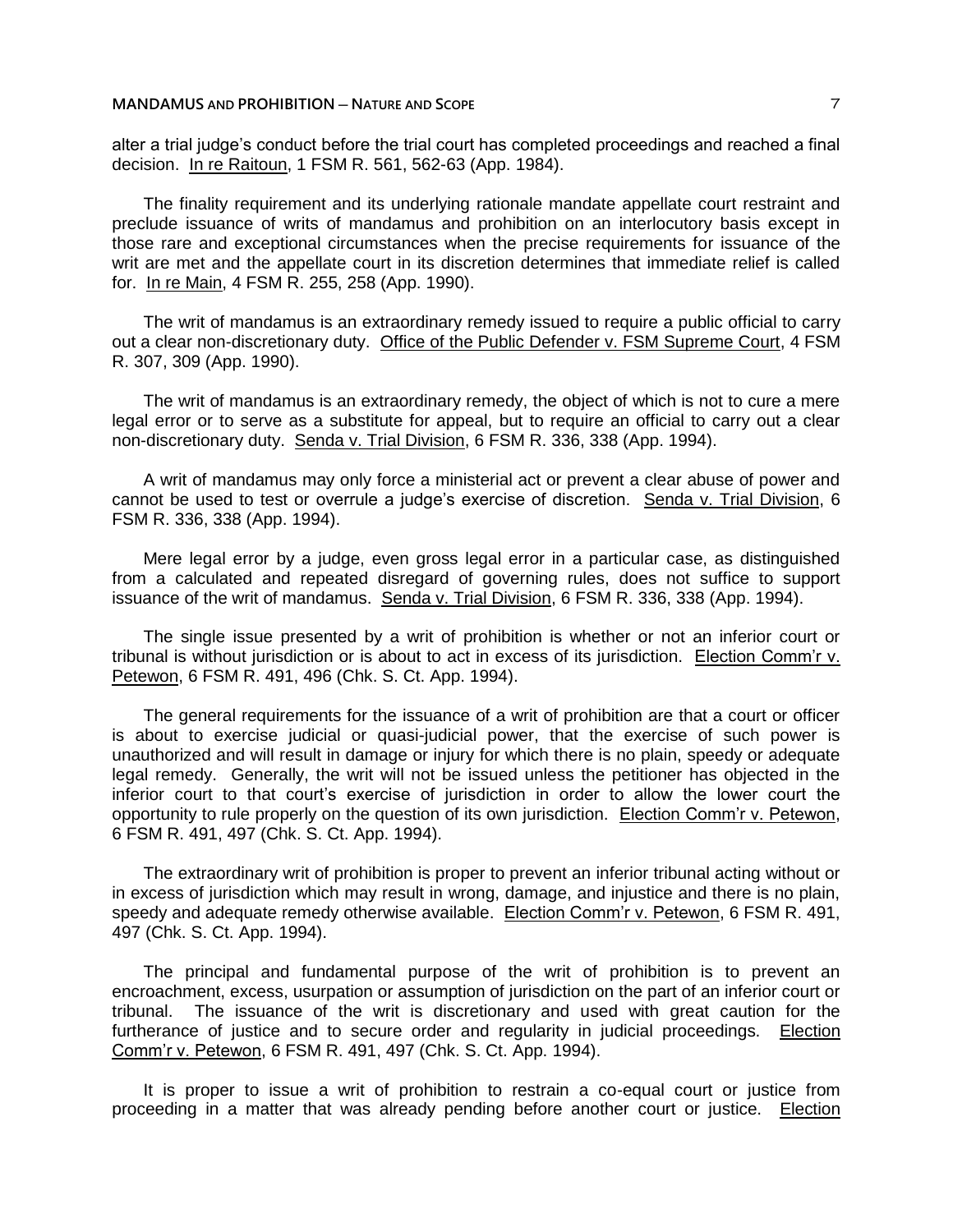alter a trial judge's conduct before the trial court has completed proceedings and reached a final decision. In re Raitoun, 1 FSM R. 561, 562-63 (App. 1984).

The finality requirement and its underlying rationale mandate appellate court restraint and preclude issuance of writs of mandamus and prohibition on an interlocutory basis except in those rare and exceptional circumstances when the precise requirements for issuance of the writ are met and the appellate court in its discretion determines that immediate relief is called for. In re Main, 4 FSM R. 255, 258 (App. 1990).

The writ of mandamus is an extraordinary remedy issued to require a public official to carry out a clear non-discretionary duty. Office of the Public Defender v. FSM Supreme Court, 4 FSM R. 307, 309 (App. 1990).

The writ of mandamus is an extraordinary remedy, the object of which is not to cure a mere legal error or to serve as a substitute for appeal, but to require an official to carry out a clear non-discretionary duty. Senda v. Trial Division, 6 FSM R. 336, 338 (App. 1994).

A writ of mandamus may only force a ministerial act or prevent a clear abuse of power and cannot be used to test or overrule a judge's exercise of discretion. Senda v. Trial Division, 6 FSM R. 336, 338 (App. 1994).

Mere legal error by a judge, even gross legal error in a particular case, as distinguished from a calculated and repeated disregard of governing rules, does not suffice to support issuance of the writ of mandamus. Senda v. Trial Division, 6 FSM R. 336, 338 (App. 1994).

The single issue presented by a writ of prohibition is whether or not an inferior court or tribunal is without jurisdiction or is about to act in excess of its jurisdiction. Election Comm'r v. Petewon, 6 FSM R. 491, 496 (Chk. S. Ct. App. 1994).

The general requirements for the issuance of a writ of prohibition are that a court or officer is about to exercise judicial or quasi-judicial power, that the exercise of such power is unauthorized and will result in damage or injury for which there is no plain, speedy or adequate legal remedy. Generally, the writ will not be issued unless the petitioner has objected in the inferior court to that court's exercise of jurisdiction in order to allow the lower court the opportunity to rule properly on the question of its own jurisdiction. Election Comm'r v. Petewon, 6 FSM R. 491, 497 (Chk. S. Ct. App. 1994).

The extraordinary writ of prohibition is proper to prevent an inferior tribunal acting without or in excess of jurisdiction which may result in wrong, damage, and injustice and there is no plain, speedy and adequate remedy otherwise available. Election Comm'r v. Petewon, 6 FSM R. 491, 497 (Chk. S. Ct. App. 1994).

The principal and fundamental purpose of the writ of prohibition is to prevent an encroachment, excess, usurpation or assumption of jurisdiction on the part of an inferior court or tribunal. The issuance of the writ is discretionary and used with great caution for the furtherance of justice and to secure order and regularity in judicial proceedings. Election Comm'r v. Petewon, 6 FSM R. 491, 497 (Chk. S. Ct. App. 1994).

It is proper to issue a writ of prohibition to restrain a co-equal court or justice from proceeding in a matter that was already pending before another court or justice. Election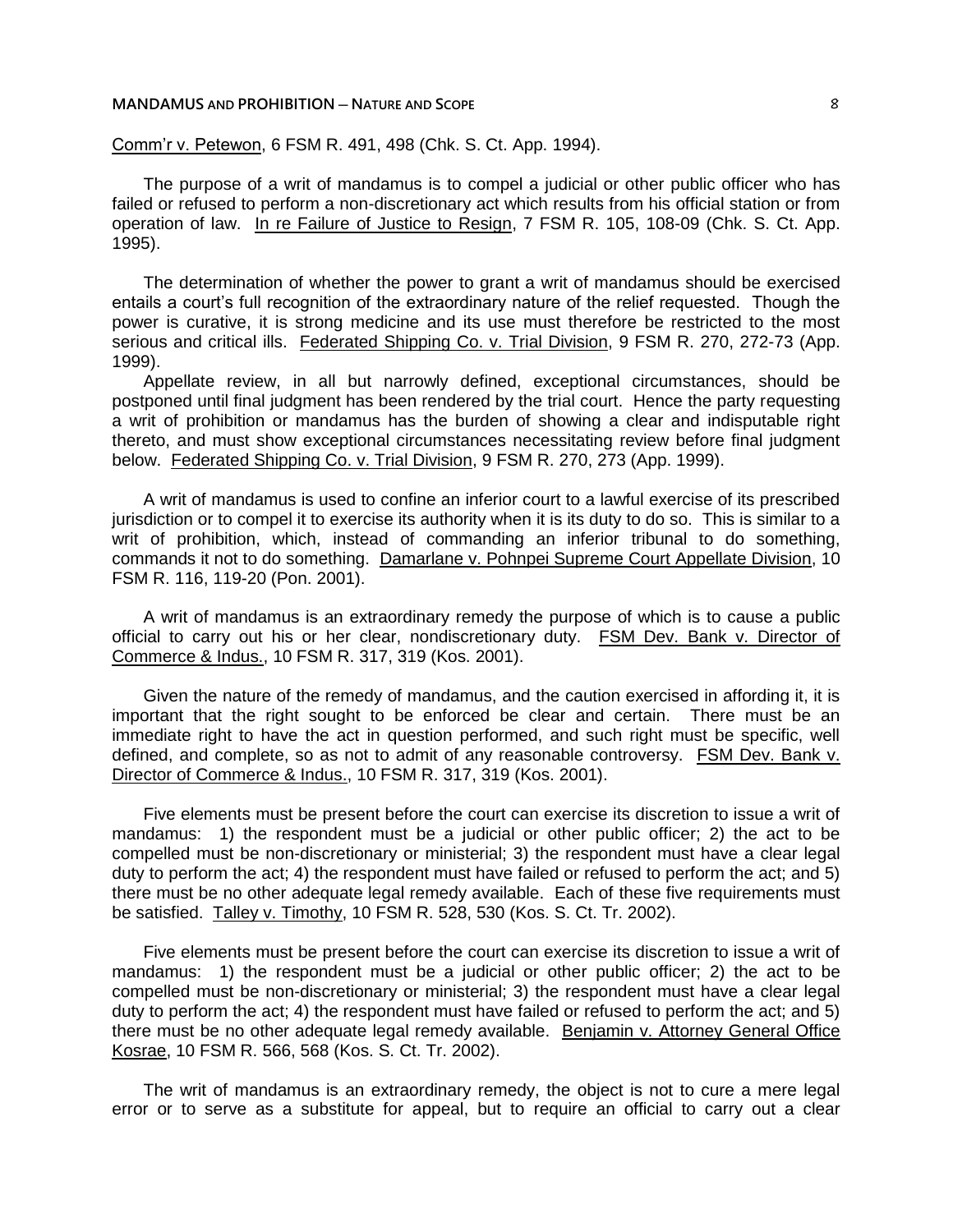Comm'r v. Petewon, 6 FSM R. 491, 498 (Chk. S. Ct. App. 1994).

The purpose of a writ of mandamus is to compel a judicial or other public officer who has failed or refused to perform a non-discretionary act which results from his official station or from operation of law. In re Failure of Justice to Resign, 7 FSM R. 105, 108-09 (Chk. S. Ct. App. 1995).

The determination of whether the power to grant a writ of mandamus should be exercised entails a court's full recognition of the extraordinary nature of the relief requested. Though the power is curative, it is strong medicine and its use must therefore be restricted to the most serious and critical ills. Federated Shipping Co. v. Trial Division, 9 FSM R. 270, 272-73 (App. 1999).

Appellate review, in all but narrowly defined, exceptional circumstances, should be postponed until final judgment has been rendered by the trial court. Hence the party requesting a writ of prohibition or mandamus has the burden of showing a clear and indisputable right thereto, and must show exceptional circumstances necessitating review before final judgment below. Federated Shipping Co. v. Trial Division, 9 FSM R. 270, 273 (App. 1999).

A writ of mandamus is used to confine an inferior court to a lawful exercise of its prescribed jurisdiction or to compel it to exercise its authority when it is its duty to do so. This is similar to a writ of prohibition, which, instead of commanding an inferior tribunal to do something, commands it not to do something. Damarlane v. Pohnpei Supreme Court Appellate Division, 10 FSM R. 116, 119-20 (Pon. 2001).

A writ of mandamus is an extraordinary remedy the purpose of which is to cause a public official to carry out his or her clear, nondiscretionary duty. FSM Dev. Bank v. Director of Commerce & Indus., 10 FSM R. 317, 319 (Kos. 2001).

Given the nature of the remedy of mandamus, and the caution exercised in affording it, it is important that the right sought to be enforced be clear and certain. There must be an immediate right to have the act in question performed, and such right must be specific, well defined, and complete, so as not to admit of any reasonable controversy. FSM Dev. Bank v. Director of Commerce & Indus., 10 FSM R. 317, 319 (Kos. 2001).

Five elements must be present before the court can exercise its discretion to issue a writ of mandamus: 1) the respondent must be a judicial or other public officer; 2) the act to be compelled must be non-discretionary or ministerial; 3) the respondent must have a clear legal duty to perform the act; 4) the respondent must have failed or refused to perform the act; and 5) there must be no other adequate legal remedy available. Each of these five requirements must be satisfied. Talley v. Timothy, 10 FSM R. 528, 530 (Kos. S. Ct. Tr. 2002).

Five elements must be present before the court can exercise its discretion to issue a writ of mandamus: 1) the respondent must be a judicial or other public officer; 2) the act to be compelled must be non-discretionary or ministerial; 3) the respondent must have a clear legal duty to perform the act; 4) the respondent must have failed or refused to perform the act; and 5) there must be no other adequate legal remedy available. Benjamin v. Attorney General Office Kosrae, 10 FSM R. 566, 568 (Kos. S. Ct. Tr. 2002).

The writ of mandamus is an extraordinary remedy, the object is not to cure a mere legal error or to serve as a substitute for appeal, but to require an official to carry out a clear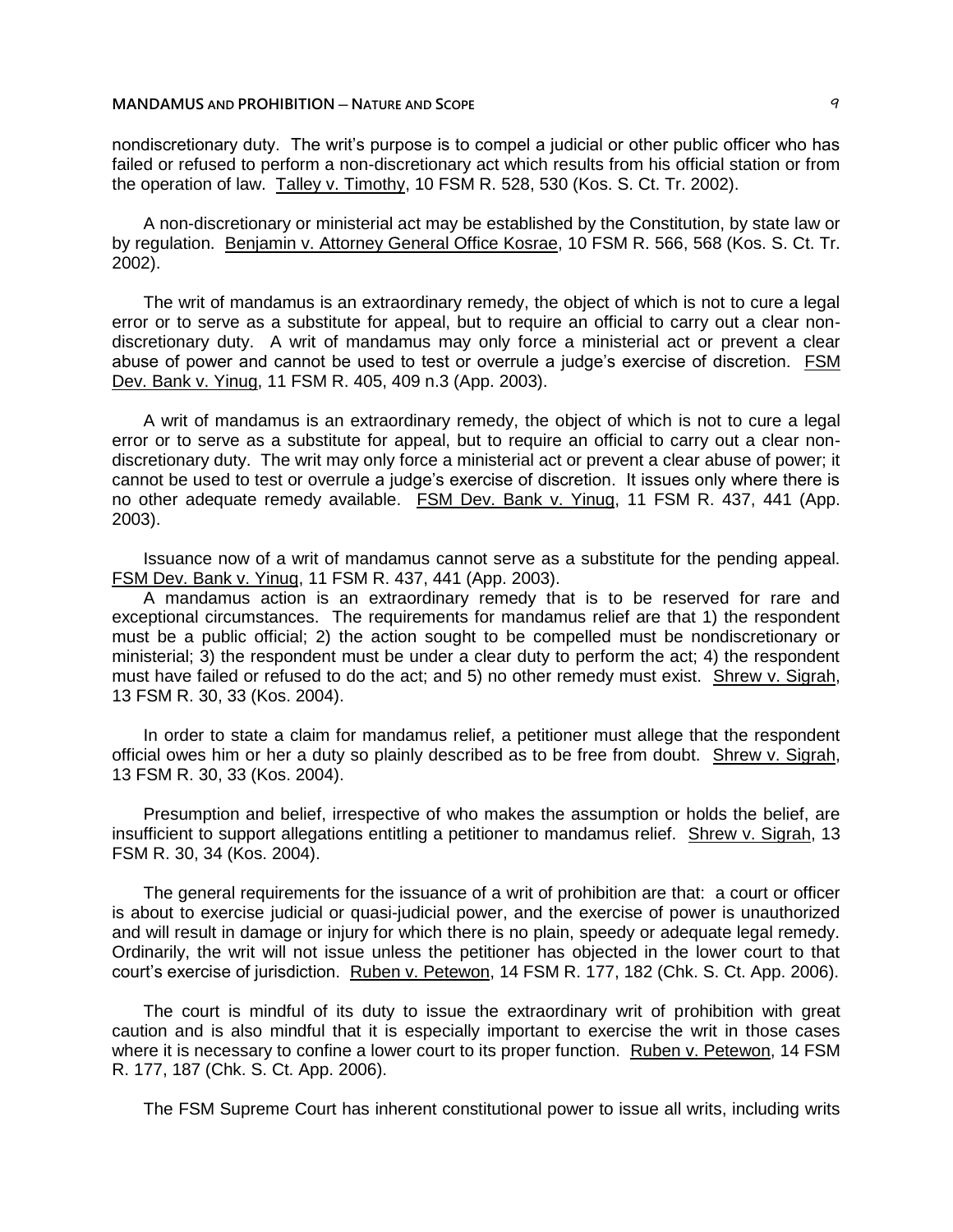nondiscretionary duty. The writ's purpose is to compel a judicial or other public officer who has failed or refused to perform a non-discretionary act which results from his official station or from the operation of law. Talley v. Timothy, 10 FSM R. 528, 530 (Kos. S. Ct. Tr. 2002).

A non-discretionary or ministerial act may be established by the Constitution, by state law or by regulation. Benjamin v. Attorney General Office Kosrae, 10 FSM R. 566, 568 (Kos. S. Ct. Tr. 2002).

The writ of mandamus is an extraordinary remedy, the object of which is not to cure a legal error or to serve as a substitute for appeal, but to require an official to carry out a clear nondiscretionary duty. A writ of mandamus may only force a ministerial act or prevent a clear abuse of power and cannot be used to test or overrule a judge's exercise of discretion. FSM Dev. Bank v. Yinug, 11 FSM R. 405, 409 n.3 (App. 2003).

A writ of mandamus is an extraordinary remedy, the object of which is not to cure a legal error or to serve as a substitute for appeal, but to require an official to carry out a clear nondiscretionary duty. The writ may only force a ministerial act or prevent a clear abuse of power; it cannot be used to test or overrule a judge's exercise of discretion. It issues only where there is no other adequate remedy available. FSM Dev. Bank v. Yinug, 11 FSM R. 437, 441 (App. 2003).

Issuance now of a writ of mandamus cannot serve as a substitute for the pending appeal. FSM Dev. Bank v. Yinug, 11 FSM R. 437, 441 (App. 2003).

A mandamus action is an extraordinary remedy that is to be reserved for rare and exceptional circumstances. The requirements for mandamus relief are that 1) the respondent must be a public official; 2) the action sought to be compelled must be nondiscretionary or ministerial; 3) the respondent must be under a clear duty to perform the act; 4) the respondent must have failed or refused to do the act; and 5) no other remedy must exist. Shrew v. Sigrah, 13 FSM R. 30, 33 (Kos. 2004).

In order to state a claim for mandamus relief, a petitioner must allege that the respondent official owes him or her a duty so plainly described as to be free from doubt. Shrew v. Sigrah, 13 FSM R. 30, 33 (Kos. 2004).

Presumption and belief, irrespective of who makes the assumption or holds the belief, are insufficient to support allegations entitling a petitioner to mandamus relief. Shrew v. Sigrah, 13 FSM R. 30, 34 (Kos. 2004).

The general requirements for the issuance of a writ of prohibition are that: a court or officer is about to exercise judicial or quasi-judicial power, and the exercise of power is unauthorized and will result in damage or injury for which there is no plain, speedy or adequate legal remedy. Ordinarily, the writ will not issue unless the petitioner has objected in the lower court to that court's exercise of jurisdiction. Ruben v. Petewon, 14 FSM R. 177, 182 (Chk. S. Ct. App. 2006).

The court is mindful of its duty to issue the extraordinary writ of prohibition with great caution and is also mindful that it is especially important to exercise the writ in those cases where it is necessary to confine a lower court to its proper function. Ruben v. Petewon, 14 FSM R. 177, 187 (Chk. S. Ct. App. 2006).

The FSM Supreme Court has inherent constitutional power to issue all writs, including writs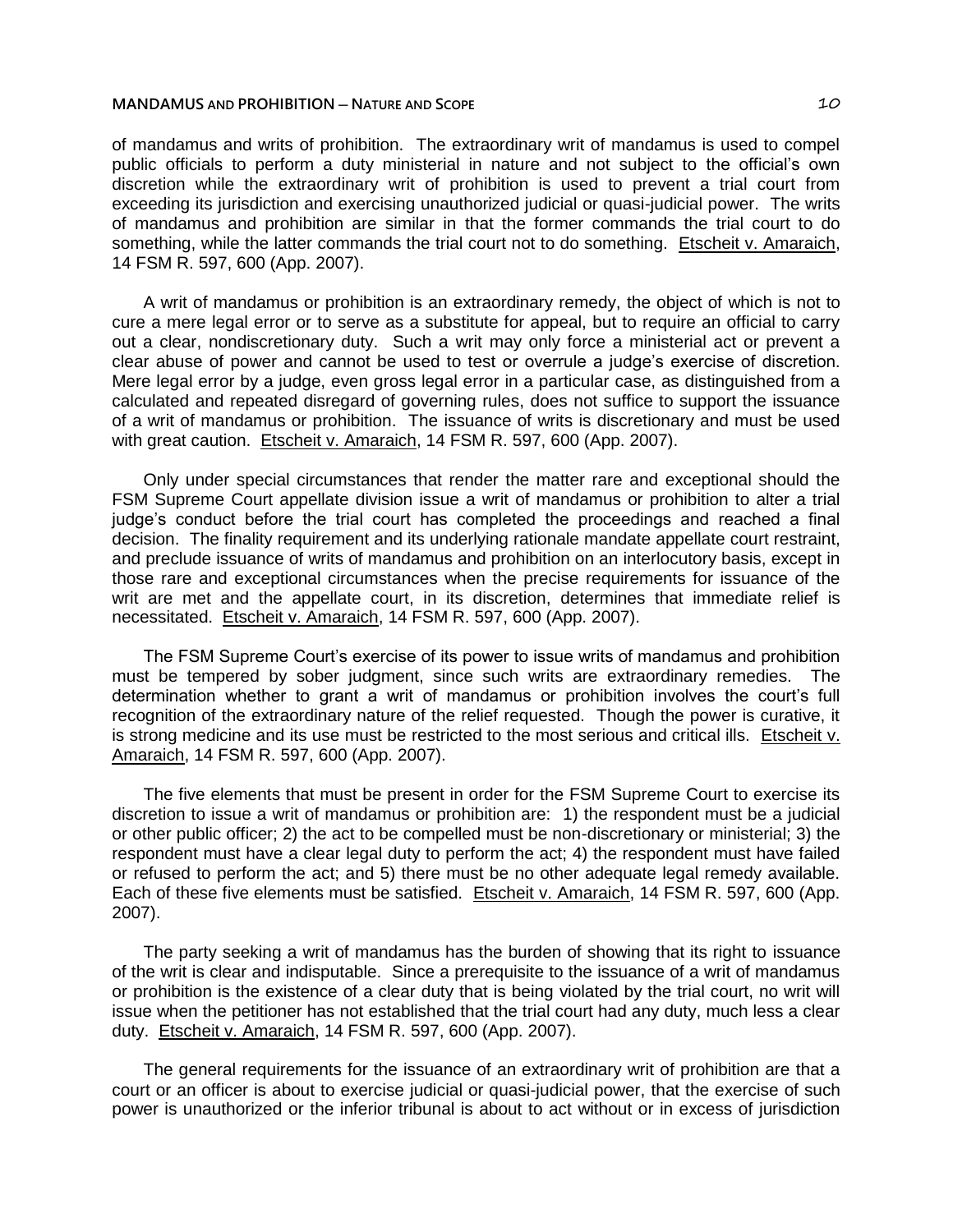of mandamus and writs of prohibition. The extraordinary writ of mandamus is used to compel public officials to perform a duty ministerial in nature and not subject to the official's own discretion while the extraordinary writ of prohibition is used to prevent a trial court from exceeding its jurisdiction and exercising unauthorized judicial or quasi-judicial power. The writs of mandamus and prohibition are similar in that the former commands the trial court to do something, while the latter commands the trial court not to do something. Etscheit v. Amaraich, 14 FSM R. 597, 600 (App. 2007).

A writ of mandamus or prohibition is an extraordinary remedy, the object of which is not to cure a mere legal error or to serve as a substitute for appeal, but to require an official to carry out a clear, nondiscretionary duty. Such a writ may only force a ministerial act or prevent a clear abuse of power and cannot be used to test or overrule a judge's exercise of discretion. Mere legal error by a judge, even gross legal error in a particular case, as distinguished from a calculated and repeated disregard of governing rules, does not suffice to support the issuance of a writ of mandamus or prohibition. The issuance of writs is discretionary and must be used with great caution. Etscheit v. Amaraich, 14 FSM R. 597, 600 (App. 2007).

Only under special circumstances that render the matter rare and exceptional should the FSM Supreme Court appellate division issue a writ of mandamus or prohibition to alter a trial judge's conduct before the trial court has completed the proceedings and reached a final decision. The finality requirement and its underlying rationale mandate appellate court restraint, and preclude issuance of writs of mandamus and prohibition on an interlocutory basis, except in those rare and exceptional circumstances when the precise requirements for issuance of the writ are met and the appellate court, in its discretion, determines that immediate relief is necessitated. Etscheit v. Amaraich, 14 FSM R. 597, 600 (App. 2007).

The FSM Supreme Court's exercise of its power to issue writs of mandamus and prohibition must be tempered by sober judgment, since such writs are extraordinary remedies. The determination whether to grant a writ of mandamus or prohibition involves the court's full recognition of the extraordinary nature of the relief requested. Though the power is curative, it is strong medicine and its use must be restricted to the most serious and critical ills. Etscheit v. Amaraich, 14 FSM R. 597, 600 (App. 2007).

The five elements that must be present in order for the FSM Supreme Court to exercise its discretion to issue a writ of mandamus or prohibition are: 1) the respondent must be a judicial or other public officer; 2) the act to be compelled must be non-discretionary or ministerial; 3) the respondent must have a clear legal duty to perform the act; 4) the respondent must have failed or refused to perform the act; and 5) there must be no other adequate legal remedy available. Each of these five elements must be satisfied. Etscheit v. Amaraich, 14 FSM R. 597, 600 (App. 2007).

The party seeking a writ of mandamus has the burden of showing that its right to issuance of the writ is clear and indisputable. Since a prerequisite to the issuance of a writ of mandamus or prohibition is the existence of a clear duty that is being violated by the trial court, no writ will issue when the petitioner has not established that the trial court had any duty, much less a clear duty. Etscheit v. Amaraich, 14 FSM R. 597, 600 (App. 2007).

The general requirements for the issuance of an extraordinary writ of prohibition are that a court or an officer is about to exercise judicial or quasi-judicial power, that the exercise of such power is unauthorized or the inferior tribunal is about to act without or in excess of jurisdiction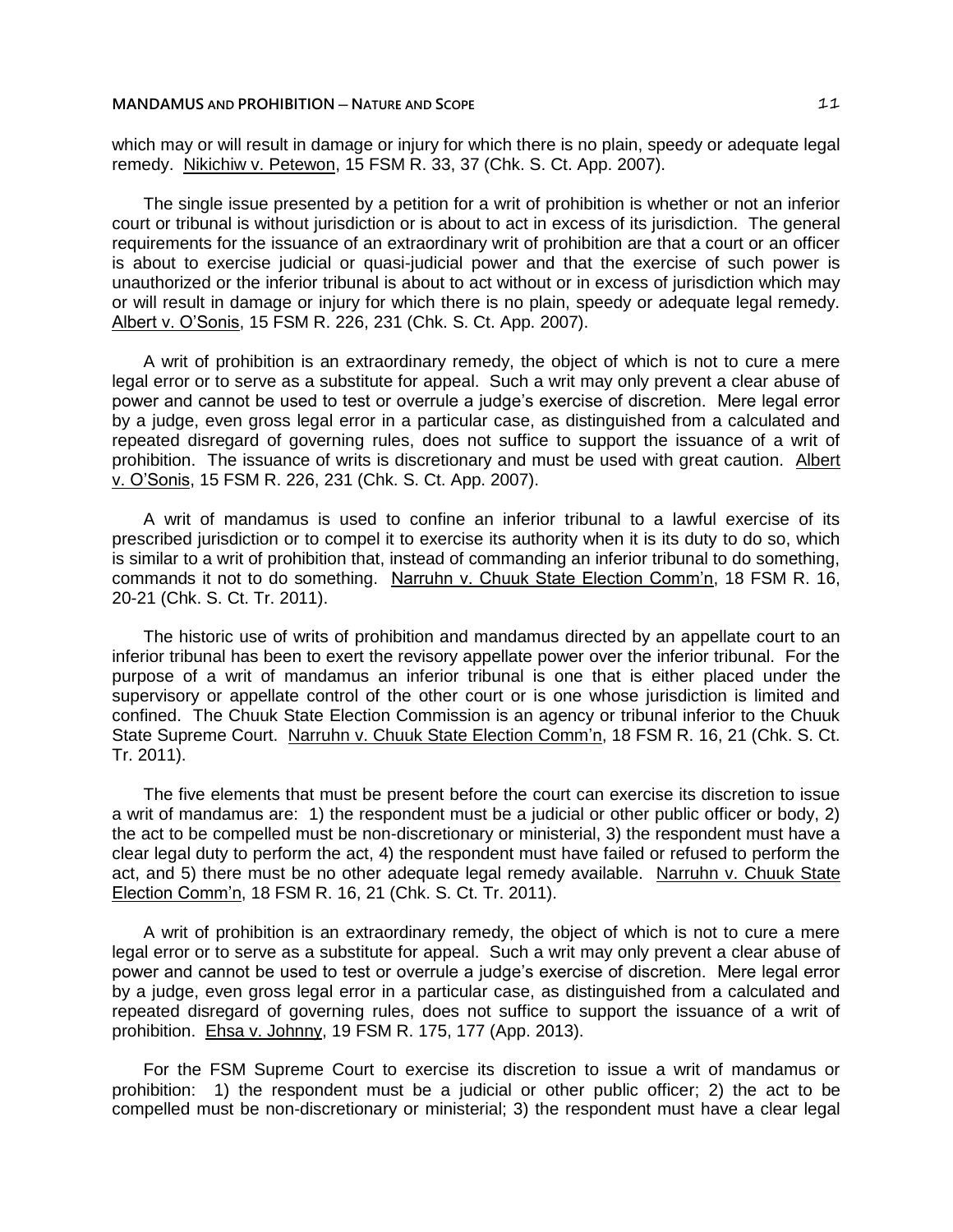which may or will result in damage or injury for which there is no plain, speedy or adequate legal remedy. Nikichiw v. Petewon, 15 FSM R. 33, 37 (Chk. S. Ct. App. 2007).

The single issue presented by a petition for a writ of prohibition is whether or not an inferior court or tribunal is without jurisdiction or is about to act in excess of its jurisdiction. The general requirements for the issuance of an extraordinary writ of prohibition are that a court or an officer is about to exercise judicial or quasi-judicial power and that the exercise of such power is unauthorized or the inferior tribunal is about to act without or in excess of jurisdiction which may or will result in damage or injury for which there is no plain, speedy or adequate legal remedy. Albert v. O'Sonis, 15 FSM R. 226, 231 (Chk. S. Ct. App. 2007).

A writ of prohibition is an extraordinary remedy, the object of which is not to cure a mere legal error or to serve as a substitute for appeal. Such a writ may only prevent a clear abuse of power and cannot be used to test or overrule a judge's exercise of discretion. Mere legal error by a judge, even gross legal error in a particular case, as distinguished from a calculated and repeated disregard of governing rules, does not suffice to support the issuance of a writ of prohibition. The issuance of writs is discretionary and must be used with great caution. Albert v. O'Sonis, 15 FSM R. 226, 231 (Chk. S. Ct. App. 2007).

A writ of mandamus is used to confine an inferior tribunal to a lawful exercise of its prescribed jurisdiction or to compel it to exercise its authority when it is its duty to do so, which is similar to a writ of prohibition that, instead of commanding an inferior tribunal to do something, commands it not to do something. Narruhn v. Chuuk State Election Comm'n, 18 FSM R. 16, 20-21 (Chk. S. Ct. Tr. 2011).

The historic use of writs of prohibition and mandamus directed by an appellate court to an inferior tribunal has been to exert the revisory appellate power over the inferior tribunal. For the purpose of a writ of mandamus an inferior tribunal is one that is either placed under the supervisory or appellate control of the other court or is one whose jurisdiction is limited and confined. The Chuuk State Election Commission is an agency or tribunal inferior to the Chuuk State Supreme Court. Narruhn v. Chuuk State Election Comm'n, 18 FSM R. 16, 21 (Chk. S. Ct. Tr. 2011).

The five elements that must be present before the court can exercise its discretion to issue a writ of mandamus are: 1) the respondent must be a judicial or other public officer or body, 2) the act to be compelled must be non-discretionary or ministerial, 3) the respondent must have a clear legal duty to perform the act, 4) the respondent must have failed or refused to perform the act, and 5) there must be no other adequate legal remedy available. Narruhn v. Chuuk State Election Comm'n, 18 FSM R. 16, 21 (Chk. S. Ct. Tr. 2011).

A writ of prohibition is an extraordinary remedy, the object of which is not to cure a mere legal error or to serve as a substitute for appeal. Such a writ may only prevent a clear abuse of power and cannot be used to test or overrule a judge's exercise of discretion. Mere legal error by a judge, even gross legal error in a particular case, as distinguished from a calculated and repeated disregard of governing rules, does not suffice to support the issuance of a writ of prohibition. Ehsa v. Johnny, 19 FSM R. 175, 177 (App. 2013).

For the FSM Supreme Court to exercise its discretion to issue a writ of mandamus or prohibition: 1) the respondent must be a judicial or other public officer; 2) the act to be compelled must be non-discretionary or ministerial; 3) the respondent must have a clear legal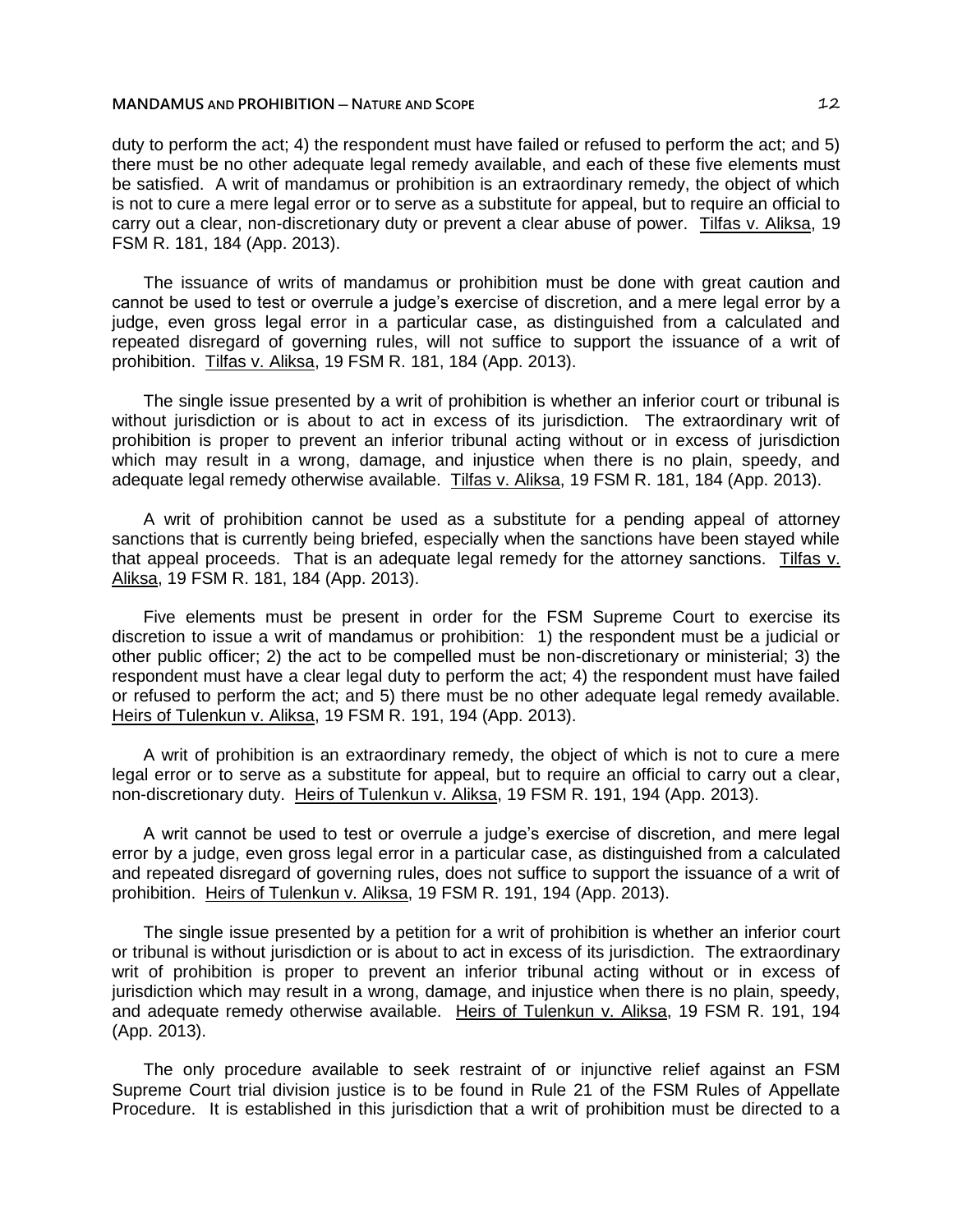duty to perform the act; 4) the respondent must have failed or refused to perform the act; and 5) there must be no other adequate legal remedy available, and each of these five elements must be satisfied. A writ of mandamus or prohibition is an extraordinary remedy, the object of which is not to cure a mere legal error or to serve as a substitute for appeal, but to require an official to carry out a clear, non-discretionary duty or prevent a clear abuse of power. Tilfas v. Aliksa, 19 FSM R. 181, 184 (App. 2013).

The issuance of writs of mandamus or prohibition must be done with great caution and cannot be used to test or overrule a judge's exercise of discretion, and a mere legal error by a judge, even gross legal error in a particular case, as distinguished from a calculated and repeated disregard of governing rules, will not suffice to support the issuance of a writ of prohibition. Tilfas v. Aliksa, 19 FSM R. 181, 184 (App. 2013).

The single issue presented by a writ of prohibition is whether an inferior court or tribunal is without jurisdiction or is about to act in excess of its jurisdiction. The extraordinary writ of prohibition is proper to prevent an inferior tribunal acting without or in excess of jurisdiction which may result in a wrong, damage, and injustice when there is no plain, speedy, and adequate legal remedy otherwise available. Tilfas v. Aliksa, 19 FSM R. 181, 184 (App. 2013).

A writ of prohibition cannot be used as a substitute for a pending appeal of attorney sanctions that is currently being briefed, especially when the sanctions have been stayed while that appeal proceeds. That is an adequate legal remedy for the attorney sanctions. Tilfas v. Aliksa, 19 FSM R. 181, 184 (App. 2013).

Five elements must be present in order for the FSM Supreme Court to exercise its discretion to issue a writ of mandamus or prohibition: 1) the respondent must be a judicial or other public officer; 2) the act to be compelled must be non-discretionary or ministerial; 3) the respondent must have a clear legal duty to perform the act; 4) the respondent must have failed or refused to perform the act; and 5) there must be no other adequate legal remedy available. Heirs of Tulenkun v. Aliksa, 19 FSM R. 191, 194 (App. 2013).

A writ of prohibition is an extraordinary remedy, the object of which is not to cure a mere legal error or to serve as a substitute for appeal, but to require an official to carry out a clear, non-discretionary duty. Heirs of Tulenkun v. Aliksa, 19 FSM R. 191, 194 (App. 2013).

A writ cannot be used to test or overrule a judge's exercise of discretion, and mere legal error by a judge, even gross legal error in a particular case, as distinguished from a calculated and repeated disregard of governing rules, does not suffice to support the issuance of a writ of prohibition. Heirs of Tulenkun v. Aliksa, 19 FSM R. 191, 194 (App. 2013).

The single issue presented by a petition for a writ of prohibition is whether an inferior court or tribunal is without jurisdiction or is about to act in excess of its jurisdiction. The extraordinary writ of prohibition is proper to prevent an inferior tribunal acting without or in excess of jurisdiction which may result in a wrong, damage, and injustice when there is no plain, speedy, and adequate remedy otherwise available. Heirs of Tulenkun v. Aliksa, 19 FSM R. 191, 194 (App. 2013).

The only procedure available to seek restraint of or injunctive relief against an FSM Supreme Court trial division justice is to be found in Rule 21 of the FSM Rules of Appellate Procedure. It is established in this jurisdiction that a writ of prohibition must be directed to a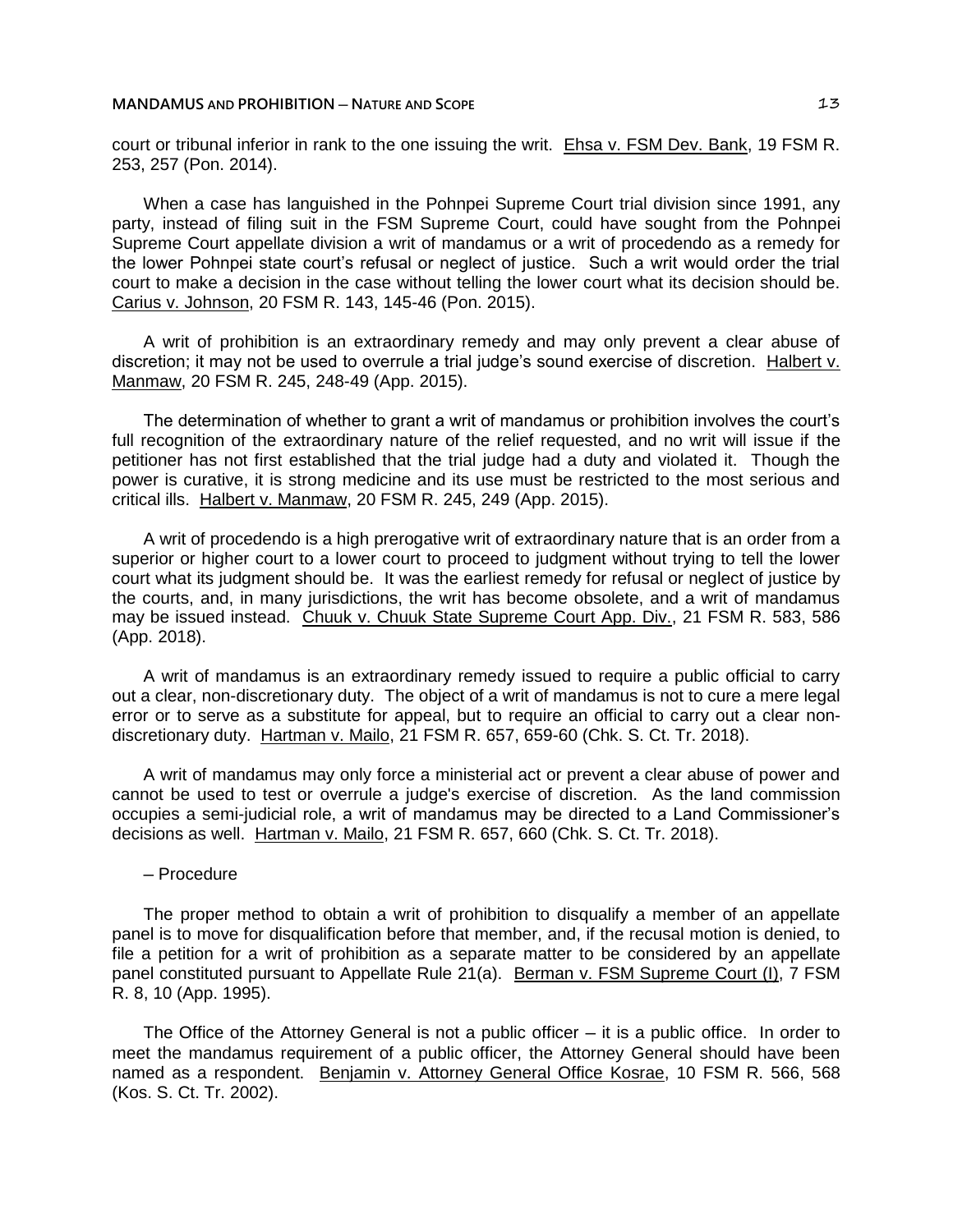court or tribunal inferior in rank to the one issuing the writ. Ehsa v. FSM Dev. Bank, 19 FSM R. 253, 257 (Pon. 2014).

When a case has languished in the Pohnpei Supreme Court trial division since 1991, any party, instead of filing suit in the FSM Supreme Court, could have sought from the Pohnpei Supreme Court appellate division a writ of mandamus or a writ of procedendo as a remedy for the lower Pohnpei state court's refusal or neglect of justice. Such a writ would order the trial court to make a decision in the case without telling the lower court what its decision should be. Carius v. Johnson, 20 FSM R. 143, 145-46 (Pon. 2015).

A writ of prohibition is an extraordinary remedy and may only prevent a clear abuse of discretion; it may not be used to overrule a trial judge's sound exercise of discretion. Halbert v. Manmaw, 20 FSM R. 245, 248-49 (App. 2015).

The determination of whether to grant a writ of mandamus or prohibition involves the court's full recognition of the extraordinary nature of the relief requested, and no writ will issue if the petitioner has not first established that the trial judge had a duty and violated it. Though the power is curative, it is strong medicine and its use must be restricted to the most serious and critical ills. Halbert v. Manmaw, 20 FSM R. 245, 249 (App. 2015).

A writ of procedendo is a high prerogative writ of extraordinary nature that is an order from a superior or higher court to a lower court to proceed to judgment without trying to tell the lower court what its judgment should be. It was the earliest remedy for refusal or neglect of justice by the courts, and, in many jurisdictions, the writ has become obsolete, and a writ of mandamus may be issued instead. Chuuk v. Chuuk State Supreme Court App. Div., 21 FSM R. 583, 586 (App. 2018).

A writ of mandamus is an extraordinary remedy issued to require a public official to carry out a clear, non-discretionary duty. The object of a writ of mandamus is not to cure a mere legal error or to serve as a substitute for appeal, but to require an official to carry out a clear nondiscretionary duty. Hartman v. Mailo, 21 FSM R. 657, 659-60 (Chk. S. Ct. Tr. 2018).

A writ of mandamus may only force a ministerial act or prevent a clear abuse of power and cannot be used to test or overrule a judge's exercise of discretion. As the land commission occupies a semi-judicial role, a writ of mandamus may be directed to a Land Commissioner's decisions as well. Hartman v. Mailo, 21 FSM R. 657, 660 (Chk. S. Ct. Tr. 2018).

# ─ Procedure

The proper method to obtain a writ of prohibition to disqualify a member of an appellate panel is to move for disqualification before that member, and, if the recusal motion is denied, to file a petition for a writ of prohibition as a separate matter to be considered by an appellate panel constituted pursuant to Appellate Rule 21(a). Berman v. FSM Supreme Court (I), 7 FSM R. 8, 10 (App. 1995).

The Office of the Attorney General is not a public officer  $-$  it is a public office. In order to meet the mandamus requirement of a public officer, the Attorney General should have been named as a respondent. Benjamin v. Attorney General Office Kosrae, 10 FSM R. 566, 568 (Kos. S. Ct. Tr. 2002).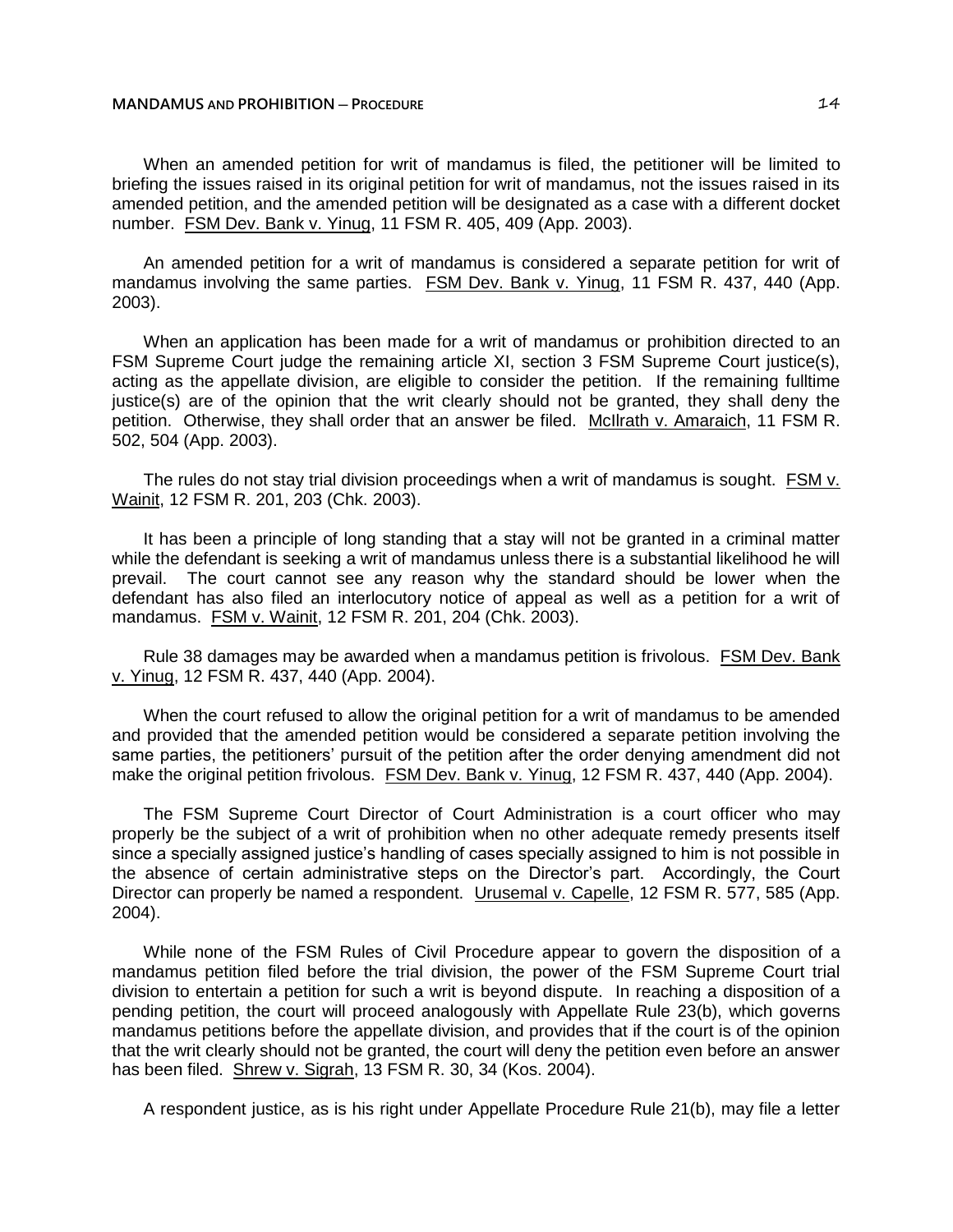### **MANDAMUS AND PROHIBITION ─ PROCEDURE** 14

When an amended petition for writ of mandamus is filed, the petitioner will be limited to briefing the issues raised in its original petition for writ of mandamus, not the issues raised in its amended petition, and the amended petition will be designated as a case with a different docket number. FSM Dev. Bank v. Yinug, 11 FSM R. 405, 409 (App. 2003).

An amended petition for a writ of mandamus is considered a separate petition for writ of mandamus involving the same parties. FSM Dev. Bank v. Yinug, 11 FSM R. 437, 440 (App. 2003).

When an application has been made for a writ of mandamus or prohibition directed to an FSM Supreme Court judge the remaining article XI, section 3 FSM Supreme Court justice(s), acting as the appellate division, are eligible to consider the petition. If the remaining fulltime justice(s) are of the opinion that the writ clearly should not be granted, they shall deny the petition. Otherwise, they shall order that an answer be filed. McIlrath v. Amaraich, 11 FSM R. 502, 504 (App. 2003).

The rules do not stay trial division proceedings when a writ of mandamus is sought. FSM v. Wainit, 12 FSM R. 201, 203 (Chk. 2003).

It has been a principle of long standing that a stay will not be granted in a criminal matter while the defendant is seeking a writ of mandamus unless there is a substantial likelihood he will prevail. The court cannot see any reason why the standard should be lower when the defendant has also filed an interlocutory notice of appeal as well as a petition for a writ of mandamus. FSM v. Wainit, 12 FSM R. 201, 204 (Chk. 2003).

Rule 38 damages may be awarded when a mandamus petition is frivolous. FSM Dev. Bank v. Yinug, 12 FSM R. 437, 440 (App. 2004).

When the court refused to allow the original petition for a writ of mandamus to be amended and provided that the amended petition would be considered a separate petition involving the same parties, the petitioners' pursuit of the petition after the order denying amendment did not make the original petition frivolous. FSM Dev. Bank v. Yinug, 12 FSM R. 437, 440 (App. 2004).

The FSM Supreme Court Director of Court Administration is a court officer who may properly be the subject of a writ of prohibition when no other adequate remedy presents itself since a specially assigned justice's handling of cases specially assigned to him is not possible in the absence of certain administrative steps on the Director's part. Accordingly, the Court Director can properly be named a respondent. Urusemal v. Capelle, 12 FSM R. 577, 585 (App. 2004).

While none of the FSM Rules of Civil Procedure appear to govern the disposition of a mandamus petition filed before the trial division, the power of the FSM Supreme Court trial division to entertain a petition for such a writ is beyond dispute. In reaching a disposition of a pending petition, the court will proceed analogously with Appellate Rule 23(b), which governs mandamus petitions before the appellate division, and provides that if the court is of the opinion that the writ clearly should not be granted, the court will deny the petition even before an answer has been filed. Shrew v. Sigrah, 13 FSM R. 30, 34 (Kos. 2004).

A respondent justice, as is his right under Appellate Procedure Rule 21(b), may file a letter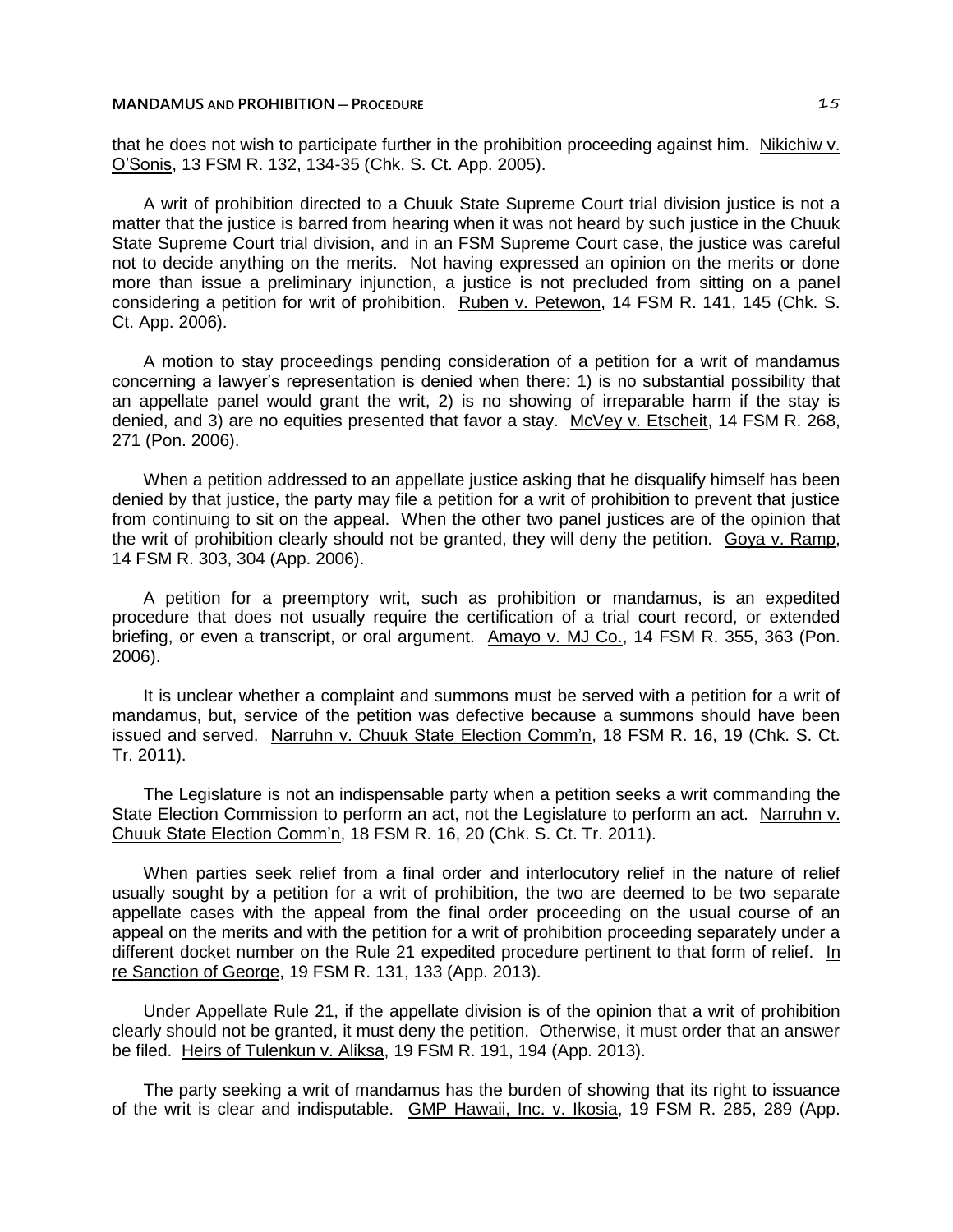#### **MANDAMUS AND PROHIBITION ─ PROCEDURE** 15

that he does not wish to participate further in the prohibition proceeding against him. Nikichiw v. O'Sonis, 13 FSM R. 132, 134-35 (Chk. S. Ct. App. 2005).

A writ of prohibition directed to a Chuuk State Supreme Court trial division justice is not a matter that the justice is barred from hearing when it was not heard by such justice in the Chuuk State Supreme Court trial division, and in an FSM Supreme Court case, the justice was careful not to decide anything on the merits. Not having expressed an opinion on the merits or done more than issue a preliminary injunction, a justice is not precluded from sitting on a panel considering a petition for writ of prohibition. Ruben v. Petewon, 14 FSM R. 141, 145 (Chk. S. Ct. App. 2006).

A motion to stay proceedings pending consideration of a petition for a writ of mandamus concerning a lawyer's representation is denied when there: 1) is no substantial possibility that an appellate panel would grant the writ, 2) is no showing of irreparable harm if the stay is denied, and 3) are no equities presented that favor a stay. McVey v. Etscheit, 14 FSM R. 268, 271 (Pon. 2006).

When a petition addressed to an appellate justice asking that he disqualify himself has been denied by that justice, the party may file a petition for a writ of prohibition to prevent that justice from continuing to sit on the appeal. When the other two panel justices are of the opinion that the writ of prohibition clearly should not be granted, they will deny the petition. Goya v. Ramp, 14 FSM R. 303, 304 (App. 2006).

A petition for a preemptory writ, such as prohibition or mandamus, is an expedited procedure that does not usually require the certification of a trial court record, or extended briefing, or even a transcript, or oral argument. Amayo v. MJ Co., 14 FSM R. 355, 363 (Pon. 2006).

It is unclear whether a complaint and summons must be served with a petition for a writ of mandamus, but, service of the petition was defective because a summons should have been issued and served. Narruhn v. Chuuk State Election Comm'n, 18 FSM R. 16, 19 (Chk. S. Ct. Tr. 2011).

The Legislature is not an indispensable party when a petition seeks a writ commanding the State Election Commission to perform an act, not the Legislature to perform an act. Narruhn v. Chuuk State Election Comm'n, 18 FSM R. 16, 20 (Chk. S. Ct. Tr. 2011).

When parties seek relief from a final order and interlocutory relief in the nature of relief usually sought by a petition for a writ of prohibition, the two are deemed to be two separate appellate cases with the appeal from the final order proceeding on the usual course of an appeal on the merits and with the petition for a writ of prohibition proceeding separately under a different docket number on the Rule 21 expedited procedure pertinent to that form of relief. In re Sanction of George, 19 FSM R. 131, 133 (App. 2013).

Under Appellate Rule 21, if the appellate division is of the opinion that a writ of prohibition clearly should not be granted, it must deny the petition. Otherwise, it must order that an answer be filed. Heirs of Tulenkun v. Aliksa, 19 FSM R. 191, 194 (App. 2013).

The party seeking a writ of mandamus has the burden of showing that its right to issuance of the writ is clear and indisputable. GMP Hawaii, Inc. v. Ikosia, 19 FSM R. 285, 289 (App.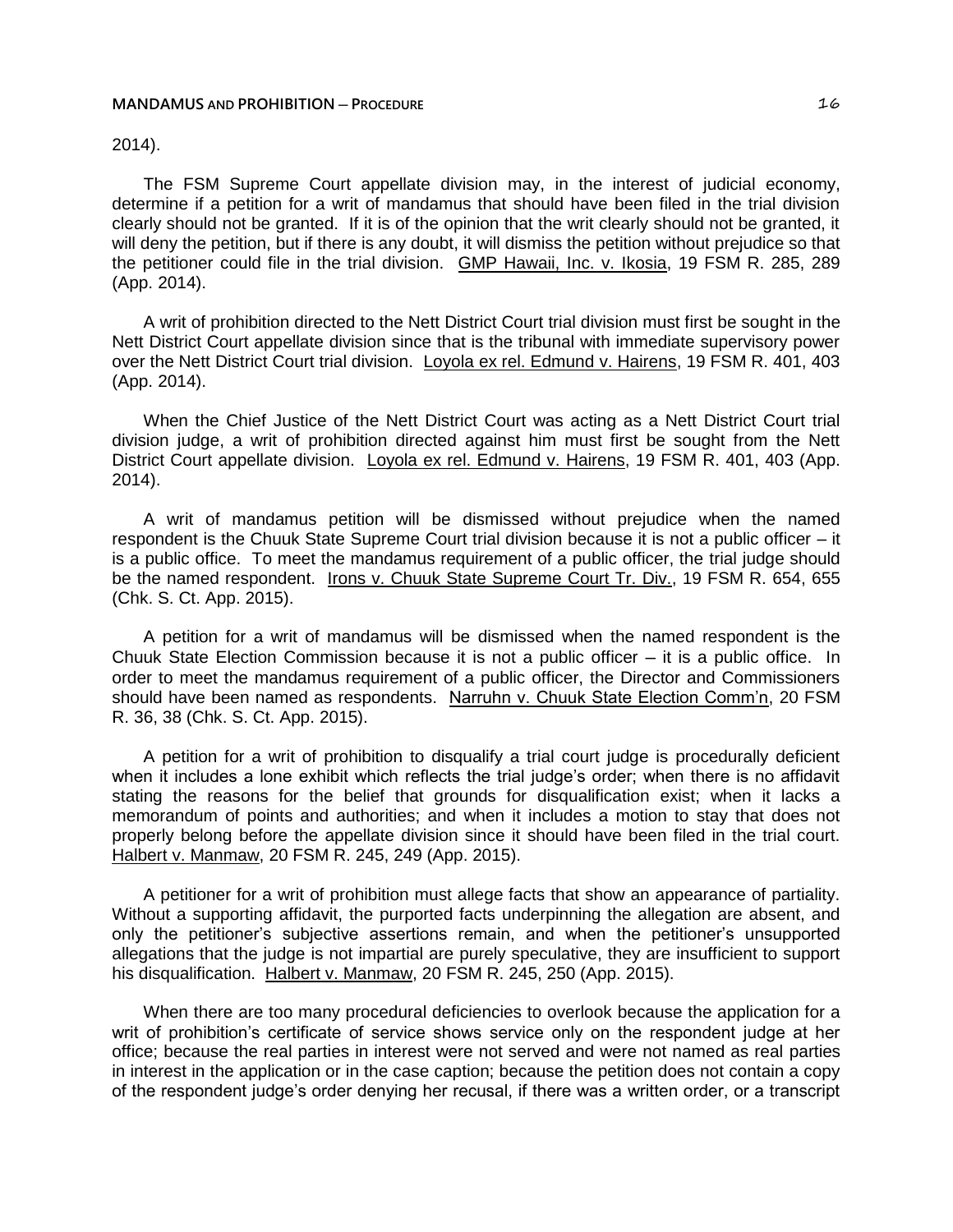# 2014).

The FSM Supreme Court appellate division may, in the interest of judicial economy, determine if a petition for a writ of mandamus that should have been filed in the trial division clearly should not be granted. If it is of the opinion that the writ clearly should not be granted, it will deny the petition, but if there is any doubt, it will dismiss the petition without prejudice so that the petitioner could file in the trial division. GMP Hawaii, Inc. v. Ikosia, 19 FSM R. 285, 289 (App. 2014).

A writ of prohibition directed to the Nett District Court trial division must first be sought in the Nett District Court appellate division since that is the tribunal with immediate supervisory power over the Nett District Court trial division. Loyola ex rel. Edmund v. Hairens, 19 FSM R. 401, 403 (App. 2014).

When the Chief Justice of the Nett District Court was acting as a Nett District Court trial division judge, a writ of prohibition directed against him must first be sought from the Nett District Court appellate division. Loyola ex rel. Edmund v. Hairens, 19 FSM R. 401, 403 (App. 2014).

A writ of mandamus petition will be dismissed without prejudice when the named respondent is the Chuuk State Supreme Court trial division because it is not a public officer – it is a public office. To meet the mandamus requirement of a public officer, the trial judge should be the named respondent. Irons v. Chuuk State Supreme Court Tr. Div., 19 FSM R. 654, 655 (Chk. S. Ct. App. 2015).

A petition for a writ of mandamus will be dismissed when the named respondent is the Chuuk State Election Commission because it is not a public officer  $-$  it is a public office. In order to meet the mandamus requirement of a public officer, the Director and Commissioners should have been named as respondents. Narruhn v. Chuuk State Election Comm'n, 20 FSM R. 36, 38 (Chk. S. Ct. App. 2015).

A petition for a writ of prohibition to disqualify a trial court judge is procedurally deficient when it includes a lone exhibit which reflects the trial judge's order; when there is no affidavit stating the reasons for the belief that grounds for disqualification exist; when it lacks a memorandum of points and authorities; and when it includes a motion to stay that does not properly belong before the appellate division since it should have been filed in the trial court. Halbert v. Manmaw, 20 FSM R. 245, 249 (App. 2015).

A petitioner for a writ of prohibition must allege facts that show an appearance of partiality. Without a supporting affidavit, the purported facts underpinning the allegation are absent, and only the petitioner's subjective assertions remain, and when the petitioner's unsupported allegations that the judge is not impartial are purely speculative, they are insufficient to support his disqualification. Halbert v. Manmaw, 20 FSM R. 245, 250 (App. 2015).

When there are too many procedural deficiencies to overlook because the application for a writ of prohibition's certificate of service shows service only on the respondent judge at her office; because the real parties in interest were not served and were not named as real parties in interest in the application or in the case caption; because the petition does not contain a copy of the respondent judge's order denying her recusal, if there was a written order, or a transcript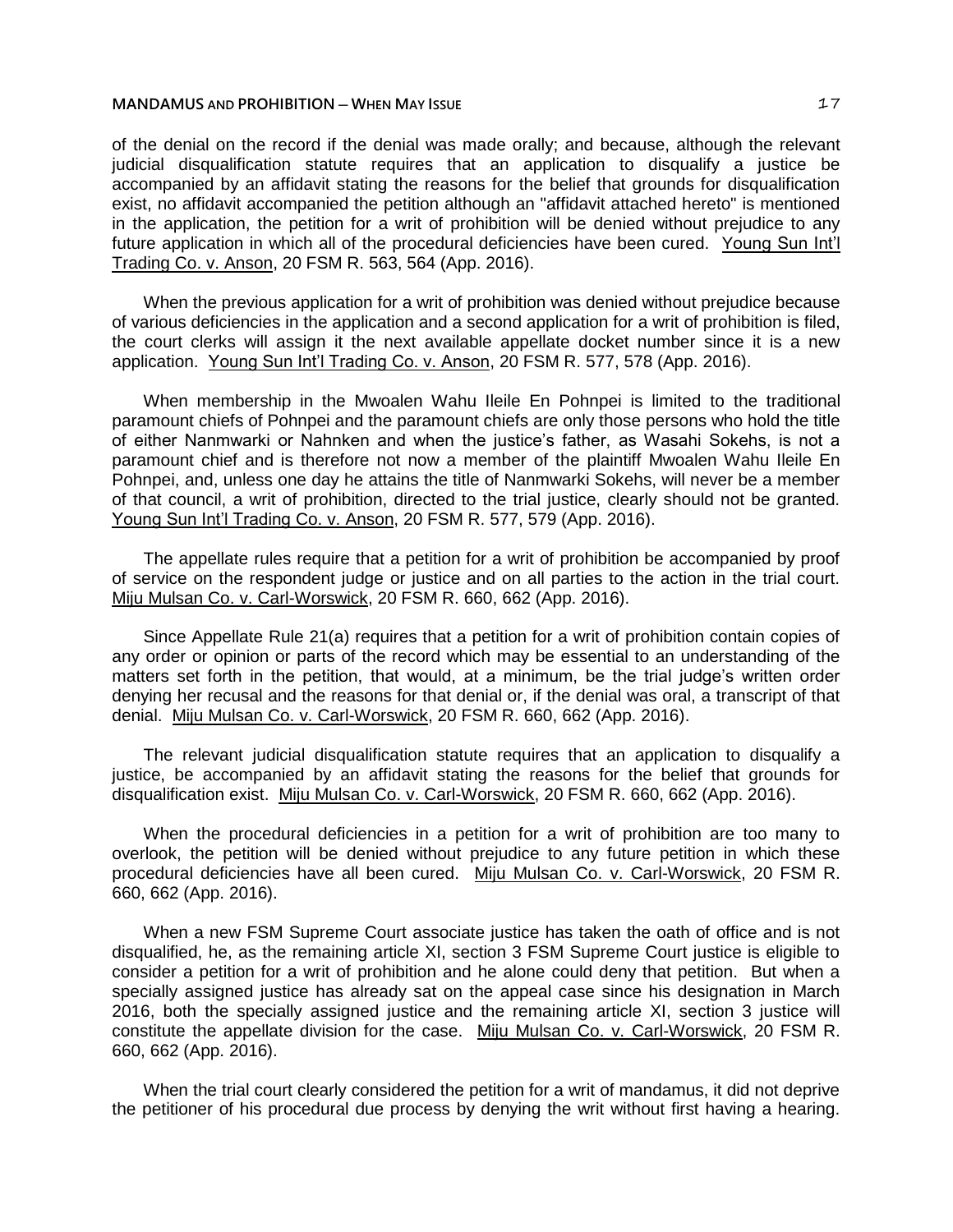of the denial on the record if the denial was made orally; and because, although the relevant judicial disqualification statute requires that an application to disqualify a justice be accompanied by an affidavit stating the reasons for the belief that grounds for disqualification exist, no affidavit accompanied the petition although an "affidavit attached hereto" is mentioned in the application, the petition for a writ of prohibition will be denied without prejudice to any future application in which all of the procedural deficiencies have been cured. Young Sun Int'l Trading Co. v. Anson, 20 FSM R. 563, 564 (App. 2016).

When the previous application for a writ of prohibition was denied without prejudice because of various deficiencies in the application and a second application for a writ of prohibition is filed, the court clerks will assign it the next available appellate docket number since it is a new application. Young Sun Int'l Trading Co. v. Anson, 20 FSM R. 577, 578 (App. 2016).

When membership in the Mwoalen Wahu Ileile En Pohnpei is limited to the traditional paramount chiefs of Pohnpei and the paramount chiefs are only those persons who hold the title of either Nanmwarki or Nahnken and when the justice's father, as Wasahi Sokehs, is not a paramount chief and is therefore not now a member of the plaintiff Mwoalen Wahu Ileile En Pohnpei, and, unless one day he attains the title of Nanmwarki Sokehs, will never be a member of that council, a writ of prohibition, directed to the trial justice, clearly should not be granted. Young Sun Int'l Trading Co. v. Anson, 20 FSM R. 577, 579 (App. 2016).

The appellate rules require that a petition for a writ of prohibition be accompanied by proof of service on the respondent judge or justice and on all parties to the action in the trial court. Miju Mulsan Co. v. Carl-Worswick, 20 FSM R. 660, 662 (App. 2016).

Since Appellate Rule 21(a) requires that a petition for a writ of prohibition contain copies of any order or opinion or parts of the record which may be essential to an understanding of the matters set forth in the petition, that would, at a minimum, be the trial judge's written order denying her recusal and the reasons for that denial or, if the denial was oral, a transcript of that denial. Miju Mulsan Co. v. Carl-Worswick, 20 FSM R. 660, 662 (App. 2016).

The relevant judicial disqualification statute requires that an application to disqualify a justice, be accompanied by an affidavit stating the reasons for the belief that grounds for disqualification exist. Miju Mulsan Co. v. Carl-Worswick, 20 FSM R. 660, 662 (App. 2016).

When the procedural deficiencies in a petition for a writ of prohibition are too many to overlook, the petition will be denied without prejudice to any future petition in which these procedural deficiencies have all been cured. Miju Mulsan Co. v. Carl-Worswick, 20 FSM R. 660, 662 (App. 2016).

When a new FSM Supreme Court associate justice has taken the oath of office and is not disqualified, he, as the remaining article XI, section 3 FSM Supreme Court justice is eligible to consider a petition for a writ of prohibition and he alone could deny that petition. But when a specially assigned justice has already sat on the appeal case since his designation in March 2016, both the specially assigned justice and the remaining article XI, section 3 justice will constitute the appellate division for the case. Miju Mulsan Co. v. Carl-Worswick, 20 FSM R. 660, 662 (App. 2016).

When the trial court clearly considered the petition for a writ of mandamus, it did not deprive the petitioner of his procedural due process by denying the writ without first having a hearing.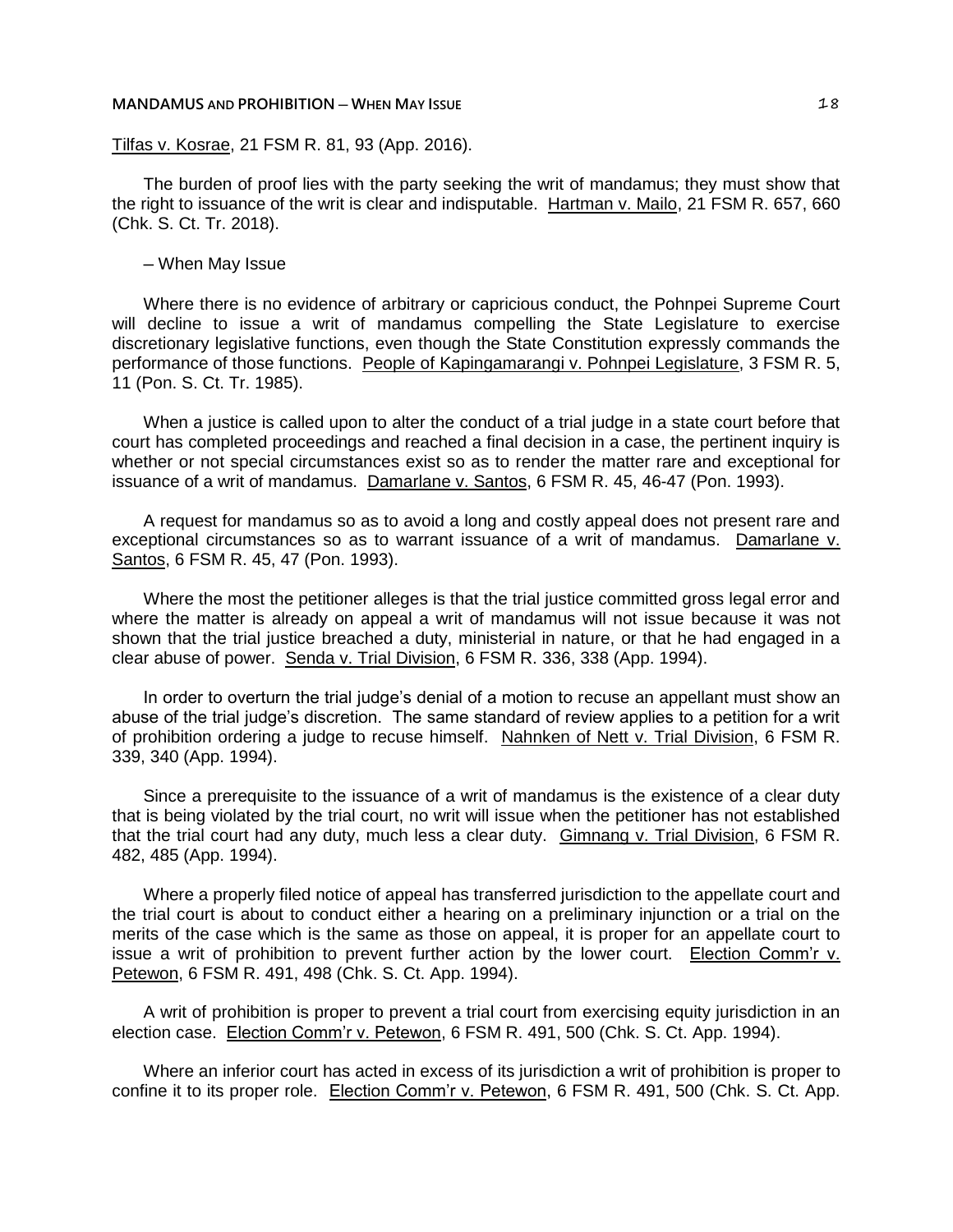Tilfas v. Kosrae, 21 FSM R. 81, 93 (App. 2016).

The burden of proof lies with the party seeking the writ of mandamus; they must show that the right to issuance of the writ is clear and indisputable. Hartman v. Mailo, 21 FSM R. 657, 660 (Chk. S. Ct. Tr. 2018).

─ When May Issue

Where there is no evidence of arbitrary or capricious conduct, the Pohnpei Supreme Court will decline to issue a writ of mandamus compelling the State Legislature to exercise discretionary legislative functions, even though the State Constitution expressly commands the performance of those functions. People of Kapingamarangi v. Pohnpei Legislature, 3 FSM R. 5, 11 (Pon. S. Ct. Tr. 1985).

When a justice is called upon to alter the conduct of a trial judge in a state court before that court has completed proceedings and reached a final decision in a case, the pertinent inquiry is whether or not special circumstances exist so as to render the matter rare and exceptional for issuance of a writ of mandamus. Damarlane v. Santos, 6 FSM R. 45, 46-47 (Pon. 1993).

A request for mandamus so as to avoid a long and costly appeal does not present rare and exceptional circumstances so as to warrant issuance of a writ of mandamus. Damarlane v. Santos, 6 FSM R. 45, 47 (Pon. 1993).

Where the most the petitioner alleges is that the trial justice committed gross legal error and where the matter is already on appeal a writ of mandamus will not issue because it was not shown that the trial justice breached a duty, ministerial in nature, or that he had engaged in a clear abuse of power. Senda v. Trial Division, 6 FSM R. 336, 338 (App. 1994).

In order to overturn the trial judge's denial of a motion to recuse an appellant must show an abuse of the trial judge's discretion. The same standard of review applies to a petition for a writ of prohibition ordering a judge to recuse himself. Nahnken of Nett v. Trial Division, 6 FSM R. 339, 340 (App. 1994).

Since a prerequisite to the issuance of a writ of mandamus is the existence of a clear duty that is being violated by the trial court, no writ will issue when the petitioner has not established that the trial court had any duty, much less a clear duty. Gimnang v. Trial Division, 6 FSM R. 482, 485 (App. 1994).

Where a properly filed notice of appeal has transferred jurisdiction to the appellate court and the trial court is about to conduct either a hearing on a preliminary injunction or a trial on the merits of the case which is the same as those on appeal, it is proper for an appellate court to issue a writ of prohibition to prevent further action by the lower court. Election Comm'r v. Petewon, 6 FSM R. 491, 498 (Chk. S. Ct. App. 1994).

A writ of prohibition is proper to prevent a trial court from exercising equity jurisdiction in an election case. Election Comm'r v. Petewon, 6 FSM R. 491, 500 (Chk. S. Ct. App. 1994).

Where an inferior court has acted in excess of its jurisdiction a writ of prohibition is proper to confine it to its proper role. Election Comm'r v. Petewon, 6 FSM R. 491, 500 (Chk. S. Ct. App.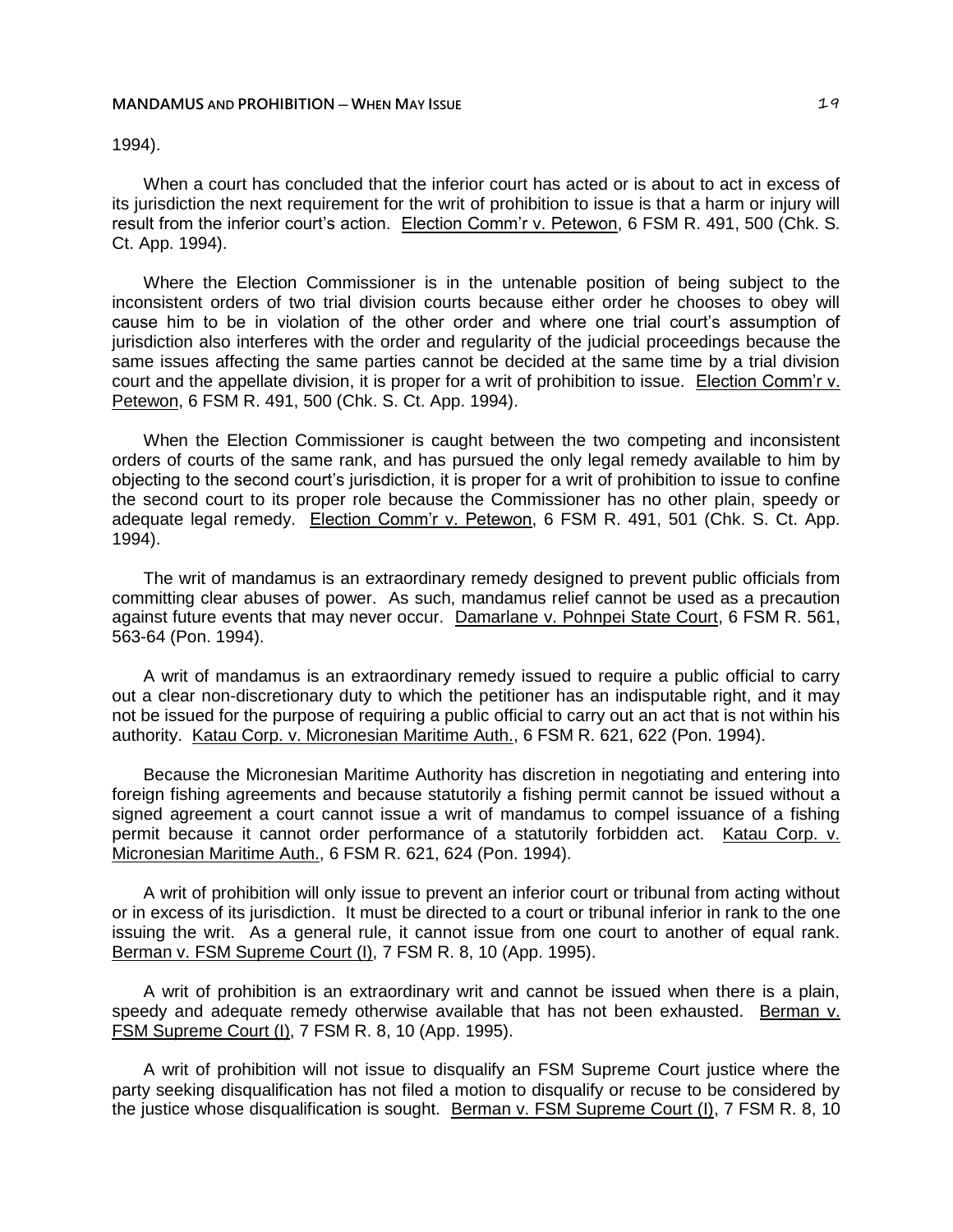# 1994).

When a court has concluded that the inferior court has acted or is about to act in excess of its jurisdiction the next requirement for the writ of prohibition to issue is that a harm or injury will result from the inferior court's action. Election Comm'r v. Petewon, 6 FSM R. 491, 500 (Chk. S. Ct. App. 1994).

Where the Election Commissioner is in the untenable position of being subject to the inconsistent orders of two trial division courts because either order he chooses to obey will cause him to be in violation of the other order and where one trial court's assumption of jurisdiction also interferes with the order and regularity of the judicial proceedings because the same issues affecting the same parties cannot be decided at the same time by a trial division court and the appellate division, it is proper for a writ of prohibition to issue. Election Comm'r v. Petewon, 6 FSM R. 491, 500 (Chk. S. Ct. App. 1994).

When the Election Commissioner is caught between the two competing and inconsistent orders of courts of the same rank, and has pursued the only legal remedy available to him by objecting to the second court's jurisdiction, it is proper for a writ of prohibition to issue to confine the second court to its proper role because the Commissioner has no other plain, speedy or adequate legal remedy. Election Comm'r v. Petewon, 6 FSM R. 491, 501 (Chk. S. Ct. App. 1994).

The writ of mandamus is an extraordinary remedy designed to prevent public officials from committing clear abuses of power. As such, mandamus relief cannot be used as a precaution against future events that may never occur. Damarlane v. Pohnpei State Court, 6 FSM R. 561, 563-64 (Pon. 1994).

A writ of mandamus is an extraordinary remedy issued to require a public official to carry out a clear non-discretionary duty to which the petitioner has an indisputable right, and it may not be issued for the purpose of requiring a public official to carry out an act that is not within his authority. Katau Corp. v. Micronesian Maritime Auth., 6 FSM R. 621, 622 (Pon. 1994).

Because the Micronesian Maritime Authority has discretion in negotiating and entering into foreign fishing agreements and because statutorily a fishing permit cannot be issued without a signed agreement a court cannot issue a writ of mandamus to compel issuance of a fishing permit because it cannot order performance of a statutorily forbidden act. Katau Corp. v. Micronesian Maritime Auth., 6 FSM R. 621, 624 (Pon. 1994).

A writ of prohibition will only issue to prevent an inferior court or tribunal from acting without or in excess of its jurisdiction. It must be directed to a court or tribunal inferior in rank to the one issuing the writ. As a general rule, it cannot issue from one court to another of equal rank. Berman v. FSM Supreme Court (I), 7 FSM R. 8, 10 (App. 1995).

A writ of prohibition is an extraordinary writ and cannot be issued when there is a plain, speedy and adequate remedy otherwise available that has not been exhausted. Berman v. FSM Supreme Court (I), 7 FSM R. 8, 10 (App. 1995).

A writ of prohibition will not issue to disqualify an FSM Supreme Court justice where the party seeking disqualification has not filed a motion to disqualify or recuse to be considered by the justice whose disqualification is sought. Berman v. FSM Supreme Court (I), 7 FSM R. 8, 10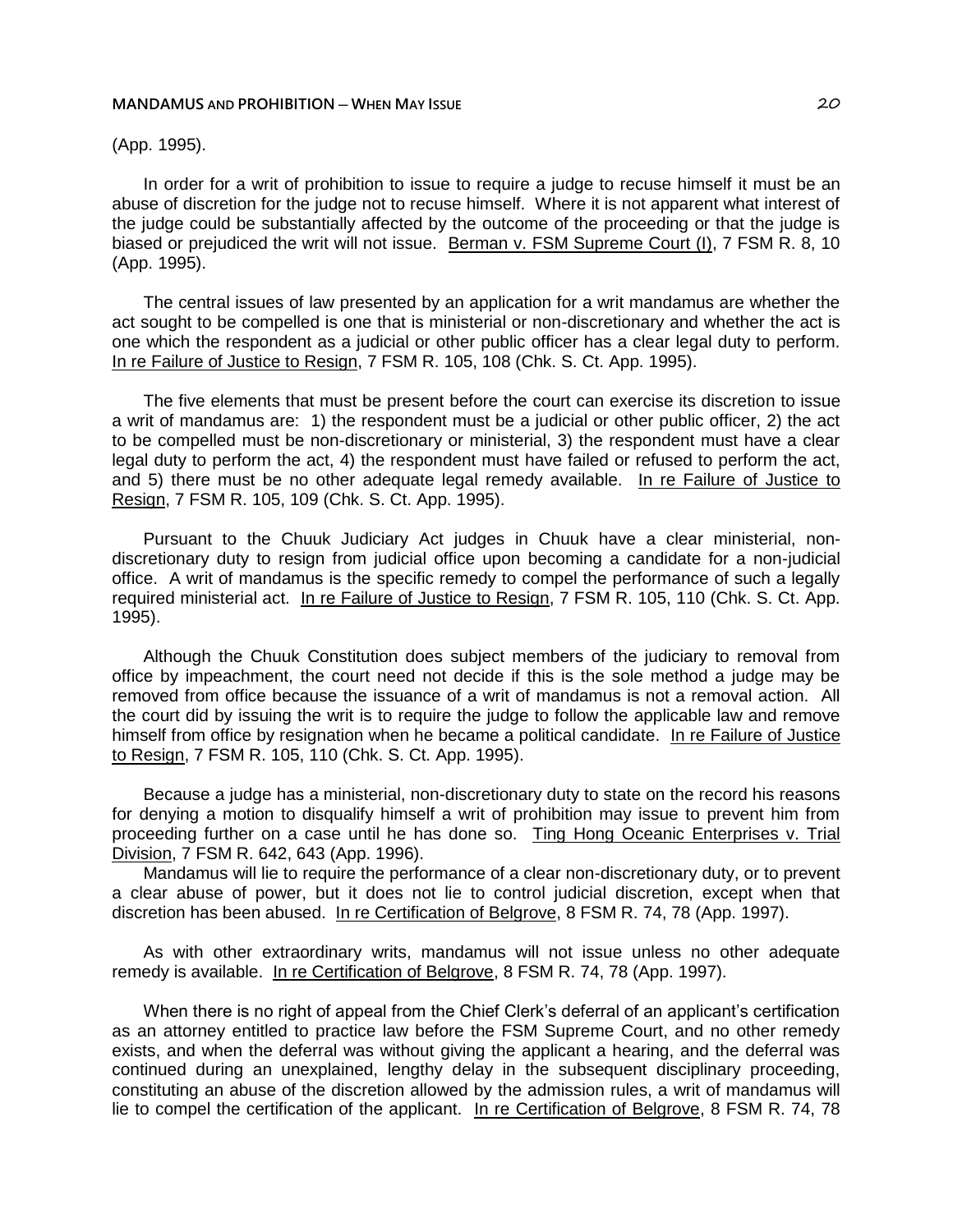(App. 1995).

In order for a writ of prohibition to issue to require a judge to recuse himself it must be an abuse of discretion for the judge not to recuse himself. Where it is not apparent what interest of the judge could be substantially affected by the outcome of the proceeding or that the judge is biased or prejudiced the writ will not issue. Berman v. FSM Supreme Court (I), 7 FSM R. 8, 10 (App. 1995).

The central issues of law presented by an application for a writ mandamus are whether the act sought to be compelled is one that is ministerial or non-discretionary and whether the act is one which the respondent as a judicial or other public officer has a clear legal duty to perform. In re Failure of Justice to Resign, 7 FSM R. 105, 108 (Chk. S. Ct. App. 1995).

The five elements that must be present before the court can exercise its discretion to issue a writ of mandamus are: 1) the respondent must be a judicial or other public officer, 2) the act to be compelled must be non-discretionary or ministerial, 3) the respondent must have a clear legal duty to perform the act, 4) the respondent must have failed or refused to perform the act, and 5) there must be no other adequate legal remedy available. In re Failure of Justice to Resign, 7 FSM R. 105, 109 (Chk. S. Ct. App. 1995).

Pursuant to the Chuuk Judiciary Act judges in Chuuk have a clear ministerial, nondiscretionary duty to resign from judicial office upon becoming a candidate for a non-judicial office. A writ of mandamus is the specific remedy to compel the performance of such a legally required ministerial act. In re Failure of Justice to Resign, 7 FSM R. 105, 110 (Chk. S. Ct. App. 1995).

Although the Chuuk Constitution does subject members of the judiciary to removal from office by impeachment, the court need not decide if this is the sole method a judge may be removed from office because the issuance of a writ of mandamus is not a removal action. All the court did by issuing the writ is to require the judge to follow the applicable law and remove himself from office by resignation when he became a political candidate. In re Failure of Justice to Resign, 7 FSM R. 105, 110 (Chk. S. Ct. App. 1995).

Because a judge has a ministerial, non-discretionary duty to state on the record his reasons for denying a motion to disqualify himself a writ of prohibition may issue to prevent him from proceeding further on a case until he has done so. Ting Hong Oceanic Enterprises v. Trial Division, 7 FSM R. 642, 643 (App. 1996).

Mandamus will lie to require the performance of a clear non-discretionary duty, or to prevent a clear abuse of power, but it does not lie to control judicial discretion, except when that discretion has been abused. In re Certification of Belgrove, 8 FSM R. 74, 78 (App. 1997).

As with other extraordinary writs, mandamus will not issue unless no other adequate remedy is available. In re Certification of Belgrove, 8 FSM R. 74, 78 (App. 1997).

When there is no right of appeal from the Chief Clerk's deferral of an applicant's certification as an attorney entitled to practice law before the FSM Supreme Court, and no other remedy exists, and when the deferral was without giving the applicant a hearing, and the deferral was continued during an unexplained, lengthy delay in the subsequent disciplinary proceeding, constituting an abuse of the discretion allowed by the admission rules, a writ of mandamus will lie to compel the certification of the applicant. In re Certification of Belgrove, 8 FSM R. 74, 78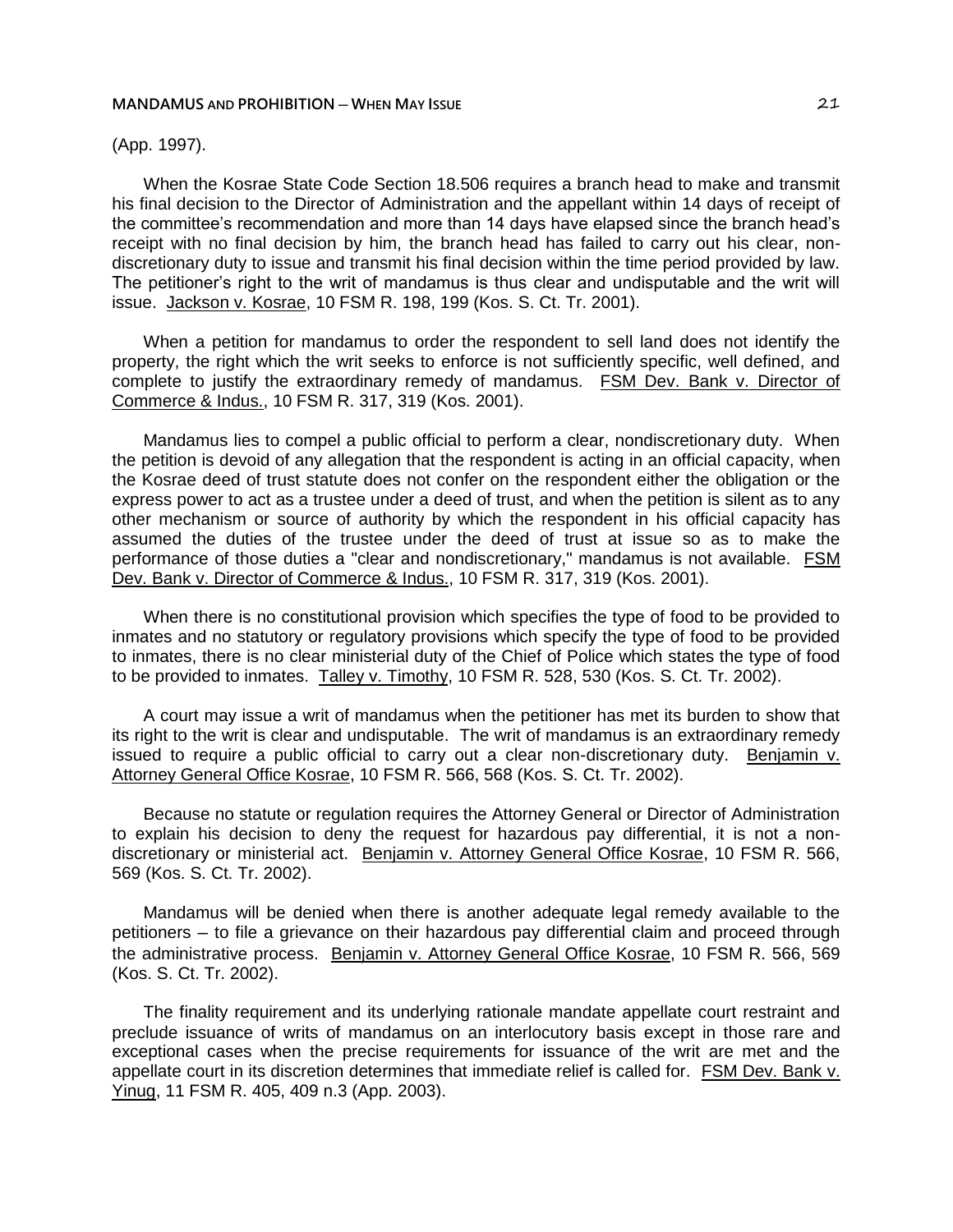(App. 1997).

When the Kosrae State Code Section 18.506 requires a branch head to make and transmit his final decision to the Director of Administration and the appellant within 14 days of receipt of the committee's recommendation and more than 14 days have elapsed since the branch head's receipt with no final decision by him, the branch head has failed to carry out his clear, nondiscretionary duty to issue and transmit his final decision within the time period provided by law. The petitioner's right to the writ of mandamus is thus clear and undisputable and the writ will issue. Jackson v. Kosrae, 10 FSM R. 198, 199 (Kos. S. Ct. Tr. 2001).

When a petition for mandamus to order the respondent to sell land does not identify the property, the right which the writ seeks to enforce is not sufficiently specific, well defined, and complete to justify the extraordinary remedy of mandamus. FSM Dev. Bank v. Director of Commerce & Indus., 10 FSM R. 317, 319 (Kos. 2001).

Mandamus lies to compel a public official to perform a clear, nondiscretionary duty. When the petition is devoid of any allegation that the respondent is acting in an official capacity, when the Kosrae deed of trust statute does not confer on the respondent either the obligation or the express power to act as a trustee under a deed of trust, and when the petition is silent as to any other mechanism or source of authority by which the respondent in his official capacity has assumed the duties of the trustee under the deed of trust at issue so as to make the performance of those duties a "clear and nondiscretionary," mandamus is not available. FSM Dev. Bank v. Director of Commerce & Indus., 10 FSM R. 317, 319 (Kos. 2001).

When there is no constitutional provision which specifies the type of food to be provided to inmates and no statutory or regulatory provisions which specify the type of food to be provided to inmates, there is no clear ministerial duty of the Chief of Police which states the type of food to be provided to inmates. Talley v. Timothy, 10 FSM R. 528, 530 (Kos. S. Ct. Tr. 2002).

A court may issue a writ of mandamus when the petitioner has met its burden to show that its right to the writ is clear and undisputable. The writ of mandamus is an extraordinary remedy issued to require a public official to carry out a clear non-discretionary duty. Benjamin v. Attorney General Office Kosrae, 10 FSM R. 566, 568 (Kos. S. Ct. Tr. 2002).

Because no statute or regulation requires the Attorney General or Director of Administration to explain his decision to deny the request for hazardous pay differential, it is not a nondiscretionary or ministerial act. Benjamin v. Attorney General Office Kosrae, 10 FSM R. 566, 569 (Kos. S. Ct. Tr. 2002).

Mandamus will be denied when there is another adequate legal remedy available to the petitioners ─ to file a grievance on their hazardous pay differential claim and proceed through the administrative process. Benjamin v. Attorney General Office Kosrae, 10 FSM R. 566, 569 (Kos. S. Ct. Tr. 2002).

The finality requirement and its underlying rationale mandate appellate court restraint and preclude issuance of writs of mandamus on an interlocutory basis except in those rare and exceptional cases when the precise requirements for issuance of the writ are met and the appellate court in its discretion determines that immediate relief is called for. FSM Dev. Bank v. Yinug, 11 FSM R. 405, 409 n.3 (App. 2003).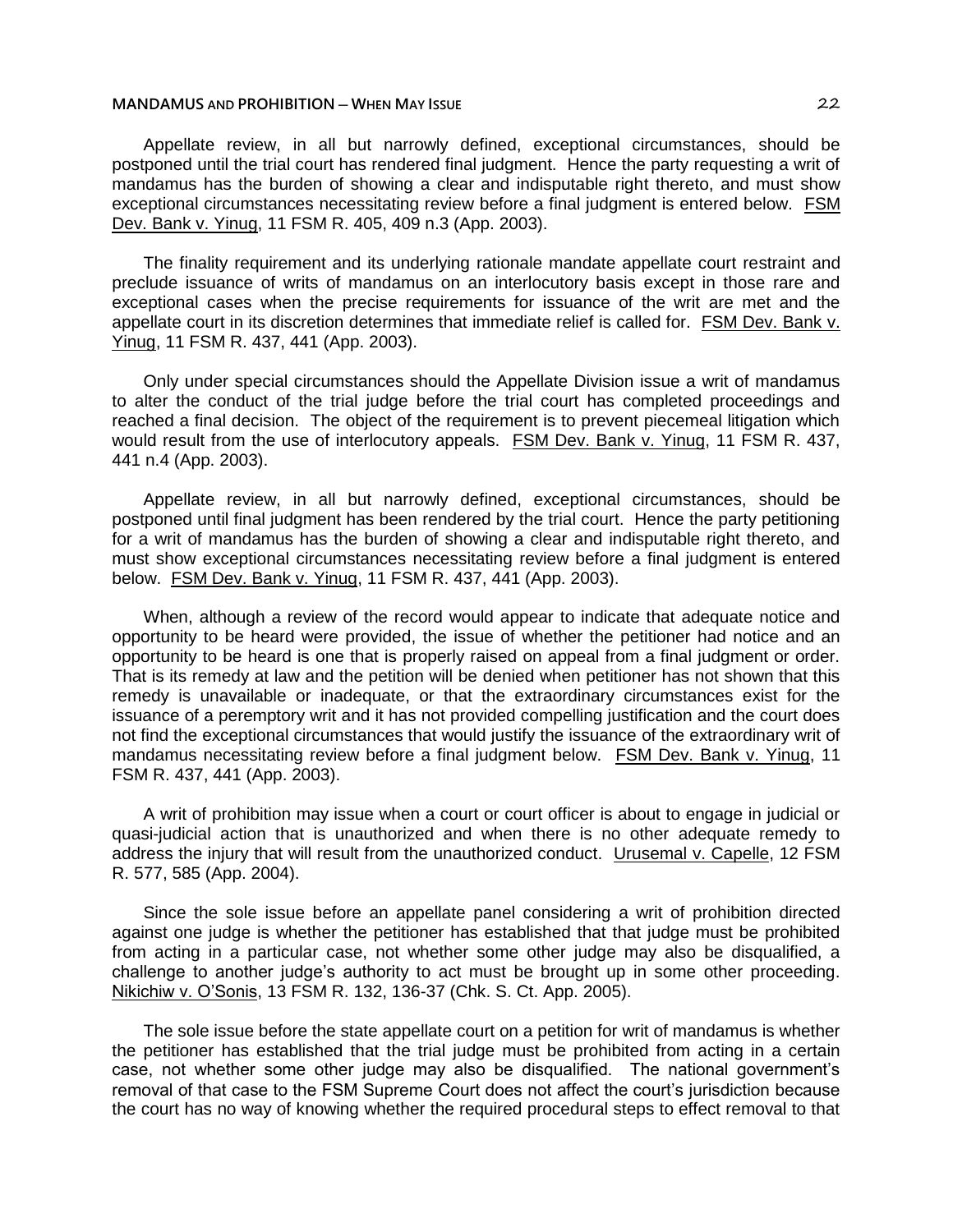Appellate review, in all but narrowly defined, exceptional circumstances, should be postponed until the trial court has rendered final judgment. Hence the party requesting a writ of mandamus has the burden of showing a clear and indisputable right thereto, and must show exceptional circumstances necessitating review before a final judgment is entered below. FSM Dev. Bank v. Yinug, 11 FSM R. 405, 409 n.3 (App. 2003).

The finality requirement and its underlying rationale mandate appellate court restraint and preclude issuance of writs of mandamus on an interlocutory basis except in those rare and exceptional cases when the precise requirements for issuance of the writ are met and the appellate court in its discretion determines that immediate relief is called for. FSM Dev. Bank v. Yinug, 11 FSM R. 437, 441 (App. 2003).

Only under special circumstances should the Appellate Division issue a writ of mandamus to alter the conduct of the trial judge before the trial court has completed proceedings and reached a final decision. The object of the requirement is to prevent piecemeal litigation which would result from the use of interlocutory appeals. FSM Dev. Bank v. Yinug, 11 FSM R. 437, 441 n.4 (App. 2003).

Appellate review, in all but narrowly defined, exceptional circumstances, should be postponed until final judgment has been rendered by the trial court. Hence the party petitioning for a writ of mandamus has the burden of showing a clear and indisputable right thereto, and must show exceptional circumstances necessitating review before a final judgment is entered below. FSM Dev. Bank v. Yinug, 11 FSM R. 437, 441 (App. 2003).

When, although a review of the record would appear to indicate that adequate notice and opportunity to be heard were provided, the issue of whether the petitioner had notice and an opportunity to be heard is one that is properly raised on appeal from a final judgment or order. That is its remedy at law and the petition will be denied when petitioner has not shown that this remedy is unavailable or inadequate, or that the extraordinary circumstances exist for the issuance of a peremptory writ and it has not provided compelling justification and the court does not find the exceptional circumstances that would justify the issuance of the extraordinary writ of mandamus necessitating review before a final judgment below. FSM Dev. Bank v. Yinug, 11 FSM R. 437, 441 (App. 2003).

A writ of prohibition may issue when a court or court officer is about to engage in judicial or quasi-judicial action that is unauthorized and when there is no other adequate remedy to address the injury that will result from the unauthorized conduct. Urusemal v. Capelle, 12 FSM R. 577, 585 (App. 2004).

Since the sole issue before an appellate panel considering a writ of prohibition directed against one judge is whether the petitioner has established that that judge must be prohibited from acting in a particular case, not whether some other judge may also be disqualified, a challenge to another judge's authority to act must be brought up in some other proceeding. Nikichiw v. O'Sonis, 13 FSM R. 132, 136-37 (Chk. S. Ct. App. 2005).

The sole issue before the state appellate court on a petition for writ of mandamus is whether the petitioner has established that the trial judge must be prohibited from acting in a certain case, not whether some other judge may also be disqualified. The national government's removal of that case to the FSM Supreme Court does not affect the court's jurisdiction because the court has no way of knowing whether the required procedural steps to effect removal to that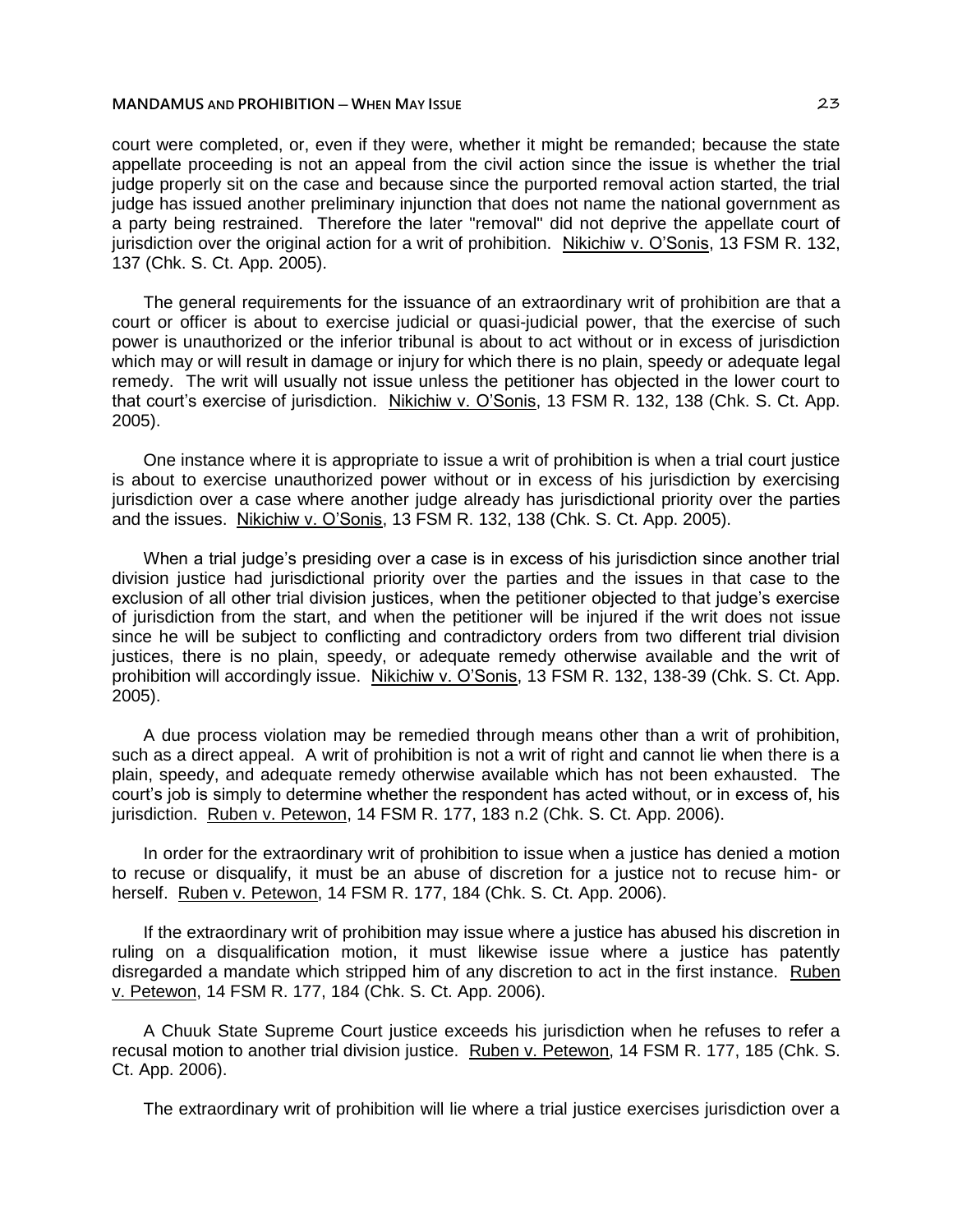court were completed, or, even if they were, whether it might be remanded; because the state appellate proceeding is not an appeal from the civil action since the issue is whether the trial judge properly sit on the case and because since the purported removal action started, the trial judge has issued another preliminary injunction that does not name the national government as a party being restrained. Therefore the later "removal" did not deprive the appellate court of jurisdiction over the original action for a writ of prohibition. Nikichiw v. O'Sonis, 13 FSM R. 132, 137 (Chk. S. Ct. App. 2005).

The general requirements for the issuance of an extraordinary writ of prohibition are that a court or officer is about to exercise judicial or quasi-judicial power, that the exercise of such power is unauthorized or the inferior tribunal is about to act without or in excess of jurisdiction which may or will result in damage or injury for which there is no plain, speedy or adequate legal remedy. The writ will usually not issue unless the petitioner has objected in the lower court to that court's exercise of jurisdiction. Nikichiw v. O'Sonis, 13 FSM R. 132, 138 (Chk. S. Ct. App. 2005).

One instance where it is appropriate to issue a writ of prohibition is when a trial court justice is about to exercise unauthorized power without or in excess of his jurisdiction by exercising jurisdiction over a case where another judge already has jurisdictional priority over the parties and the issues. Nikichiw v. O'Sonis, 13 FSM R. 132, 138 (Chk. S. Ct. App. 2005).

When a trial judge's presiding over a case is in excess of his jurisdiction since another trial division justice had jurisdictional priority over the parties and the issues in that case to the exclusion of all other trial division justices, when the petitioner objected to that judge's exercise of jurisdiction from the start, and when the petitioner will be injured if the writ does not issue since he will be subject to conflicting and contradictory orders from two different trial division justices, there is no plain, speedy, or adequate remedy otherwise available and the writ of prohibition will accordingly issue. Nikichiw v. O'Sonis, 13 FSM R. 132, 138-39 (Chk. S. Ct. App. 2005).

A due process violation may be remedied through means other than a writ of prohibition, such as a direct appeal. A writ of prohibition is not a writ of right and cannot lie when there is a plain, speedy, and adequate remedy otherwise available which has not been exhausted. The court's job is simply to determine whether the respondent has acted without, or in excess of, his jurisdiction. Ruben v. Petewon, 14 FSM R. 177, 183 n.2 (Chk. S. Ct. App. 2006).

In order for the extraordinary writ of prohibition to issue when a justice has denied a motion to recuse or disqualify, it must be an abuse of discretion for a justice not to recuse him- or herself. Ruben v. Petewon, 14 FSM R. 177, 184 (Chk. S. Ct. App. 2006).

If the extraordinary writ of prohibition may issue where a justice has abused his discretion in ruling on a disqualification motion, it must likewise issue where a justice has patently disregarded a mandate which stripped him of any discretion to act in the first instance. Ruben v. Petewon, 14 FSM R. 177, 184 (Chk. S. Ct. App. 2006).

A Chuuk State Supreme Court justice exceeds his jurisdiction when he refuses to refer a recusal motion to another trial division justice. Ruben v. Petewon, 14 FSM R. 177, 185 (Chk. S. Ct. App. 2006).

The extraordinary writ of prohibition will lie where a trial justice exercises jurisdiction over a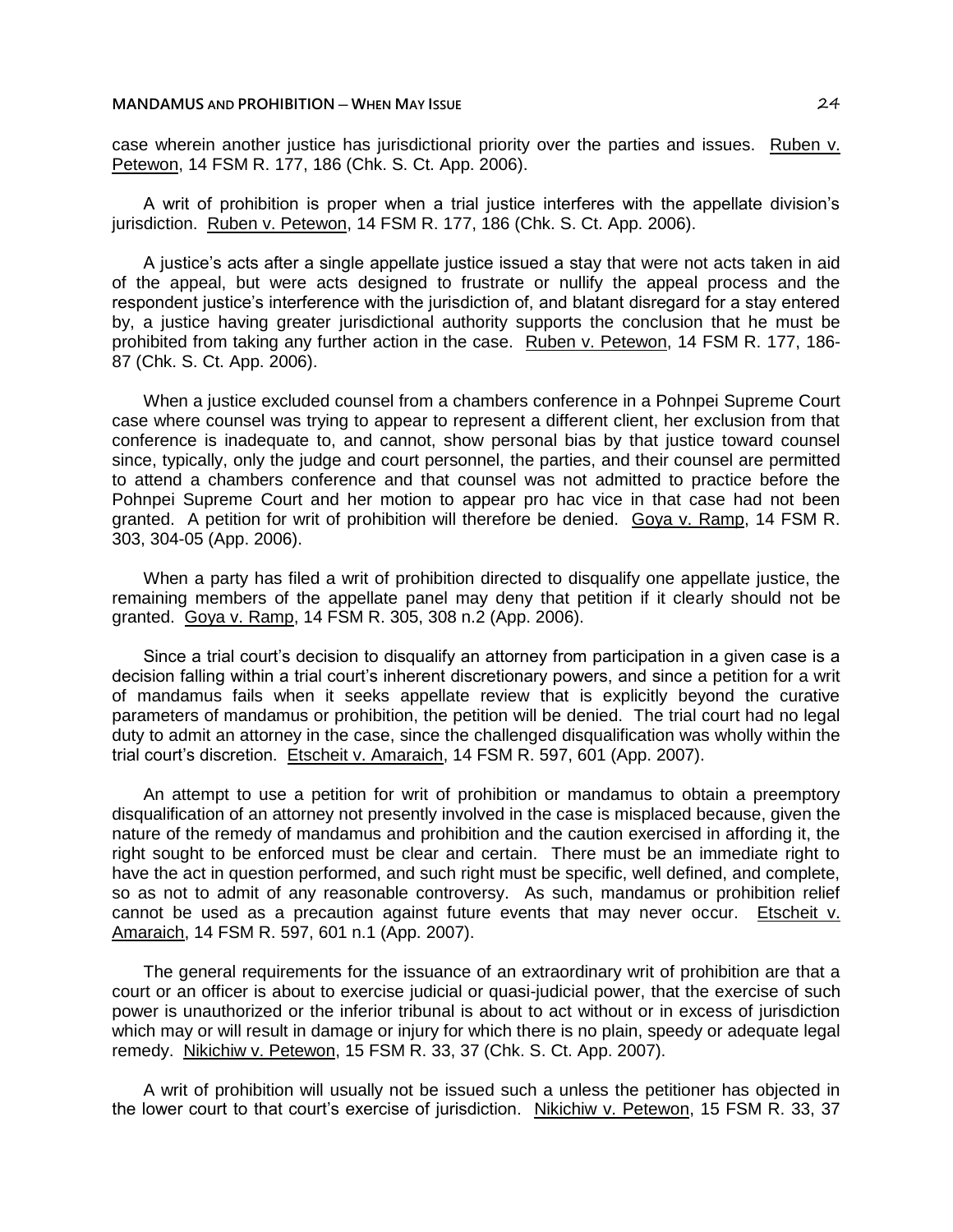case wherein another justice has jurisdictional priority over the parties and issues. Ruben v. Petewon, 14 FSM R. 177, 186 (Chk. S. Ct. App. 2006).

A writ of prohibition is proper when a trial justice interferes with the appellate division's jurisdiction. Ruben v. Petewon, 14 FSM R. 177, 186 (Chk. S. Ct. App. 2006).

A justice's acts after a single appellate justice issued a stay that were not acts taken in aid of the appeal, but were acts designed to frustrate or nullify the appeal process and the respondent justice's interference with the jurisdiction of, and blatant disregard for a stay entered by, a justice having greater jurisdictional authority supports the conclusion that he must be prohibited from taking any further action in the case. Ruben v. Petewon, 14 FSM R. 177, 186- 87 (Chk. S. Ct. App. 2006).

When a justice excluded counsel from a chambers conference in a Pohnpei Supreme Court case where counsel was trying to appear to represent a different client, her exclusion from that conference is inadequate to, and cannot, show personal bias by that justice toward counsel since, typically, only the judge and court personnel, the parties, and their counsel are permitted to attend a chambers conference and that counsel was not admitted to practice before the Pohnpei Supreme Court and her motion to appear pro hac vice in that case had not been granted. A petition for writ of prohibition will therefore be denied. Goya v. Ramp, 14 FSM R. 303, 304-05 (App. 2006).

When a party has filed a writ of prohibition directed to disqualify one appellate justice, the remaining members of the appellate panel may deny that petition if it clearly should not be granted. Goya v. Ramp, 14 FSM R. 305, 308 n.2 (App. 2006).

Since a trial court's decision to disqualify an attorney from participation in a given case is a decision falling within a trial court's inherent discretionary powers, and since a petition for a writ of mandamus fails when it seeks appellate review that is explicitly beyond the curative parameters of mandamus or prohibition, the petition will be denied. The trial court had no legal duty to admit an attorney in the case, since the challenged disqualification was wholly within the trial court's discretion. Etscheit v. Amaraich, 14 FSM R. 597, 601 (App. 2007).

An attempt to use a petition for writ of prohibition or mandamus to obtain a preemptory disqualification of an attorney not presently involved in the case is misplaced because, given the nature of the remedy of mandamus and prohibition and the caution exercised in affording it, the right sought to be enforced must be clear and certain. There must be an immediate right to have the act in question performed, and such right must be specific, well defined, and complete, so as not to admit of any reasonable controversy. As such, mandamus or prohibition relief cannot be used as a precaution against future events that may never occur. Etscheit v. Amaraich, 14 FSM R. 597, 601 n.1 (App. 2007).

The general requirements for the issuance of an extraordinary writ of prohibition are that a court or an officer is about to exercise judicial or quasi-judicial power, that the exercise of such power is unauthorized or the inferior tribunal is about to act without or in excess of jurisdiction which may or will result in damage or injury for which there is no plain, speedy or adequate legal remedy. Nikichiw v. Petewon, 15 FSM R. 33, 37 (Chk. S. Ct. App. 2007).

A writ of prohibition will usually not be issued such a unless the petitioner has objected in the lower court to that court's exercise of jurisdiction. Nikichiw v. Petewon, 15 FSM R. 33, 37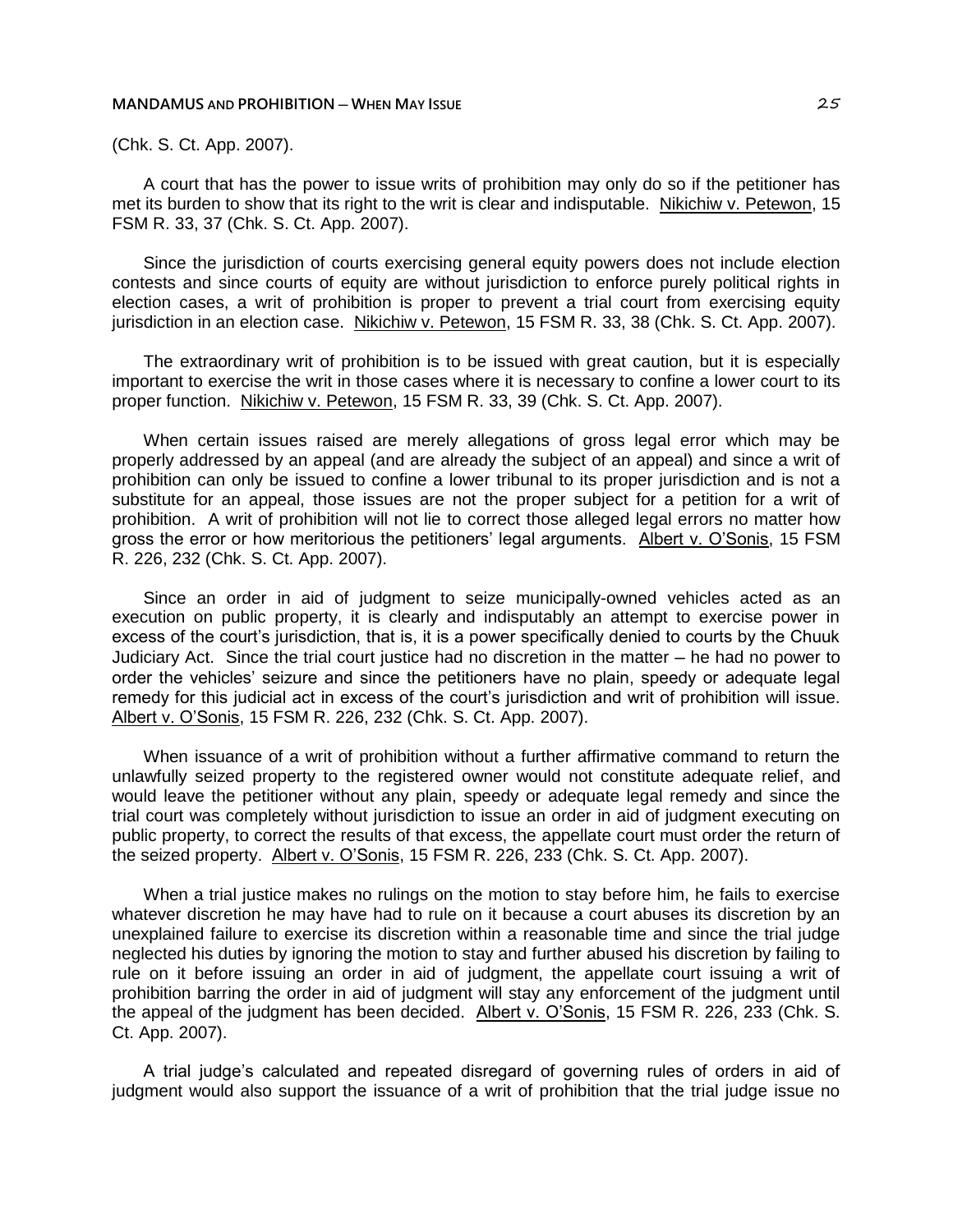(Chk. S. Ct. App. 2007).

A court that has the power to issue writs of prohibition may only do so if the petitioner has met its burden to show that its right to the writ is clear and indisputable. Nikichiw v. Petewon, 15 FSM R. 33, 37 (Chk. S. Ct. App. 2007).

Since the jurisdiction of courts exercising general equity powers does not include election contests and since courts of equity are without jurisdiction to enforce purely political rights in election cases, a writ of prohibition is proper to prevent a trial court from exercising equity jurisdiction in an election case. Nikichiw v. Petewon, 15 FSM R. 33, 38 (Chk. S. Ct. App. 2007).

The extraordinary writ of prohibition is to be issued with great caution, but it is especially important to exercise the writ in those cases where it is necessary to confine a lower court to its proper function. Nikichiw v. Petewon, 15 FSM R. 33, 39 (Chk. S. Ct. App. 2007).

When certain issues raised are merely allegations of gross legal error which may be properly addressed by an appeal (and are already the subject of an appeal) and since a writ of prohibition can only be issued to confine a lower tribunal to its proper jurisdiction and is not a substitute for an appeal, those issues are not the proper subject for a petition for a writ of prohibition. A writ of prohibition will not lie to correct those alleged legal errors no matter how gross the error or how meritorious the petitioners' legal arguments. Albert v. O'Sonis, 15 FSM R. 226, 232 (Chk. S. Ct. App. 2007).

Since an order in aid of judgment to seize municipally-owned vehicles acted as an execution on public property, it is clearly and indisputably an attempt to exercise power in excess of the court's jurisdiction, that is, it is a power specifically denied to courts by the Chuuk Judiciary Act. Since the trial court justice had no discretion in the matter ─ he had no power to order the vehicles' seizure and since the petitioners have no plain, speedy or adequate legal remedy for this judicial act in excess of the court's jurisdiction and writ of prohibition will issue. Albert v. O'Sonis, 15 FSM R. 226, 232 (Chk. S. Ct. App. 2007).

When issuance of a writ of prohibition without a further affirmative command to return the unlawfully seized property to the registered owner would not constitute adequate relief, and would leave the petitioner without any plain, speedy or adequate legal remedy and since the trial court was completely without jurisdiction to issue an order in aid of judgment executing on public property, to correct the results of that excess, the appellate court must order the return of the seized property. Albert v. O'Sonis, 15 FSM R. 226, 233 (Chk. S. Ct. App. 2007).

When a trial justice makes no rulings on the motion to stay before him, he fails to exercise whatever discretion he may have had to rule on it because a court abuses its discretion by an unexplained failure to exercise its discretion within a reasonable time and since the trial judge neglected his duties by ignoring the motion to stay and further abused his discretion by failing to rule on it before issuing an order in aid of judgment, the appellate court issuing a writ of prohibition barring the order in aid of judgment will stay any enforcement of the judgment until the appeal of the judgment has been decided. Albert v. O'Sonis, 15 FSM R. 226, 233 (Chk. S. Ct. App. 2007).

A trial judge's calculated and repeated disregard of governing rules of orders in aid of judgment would also support the issuance of a writ of prohibition that the trial judge issue no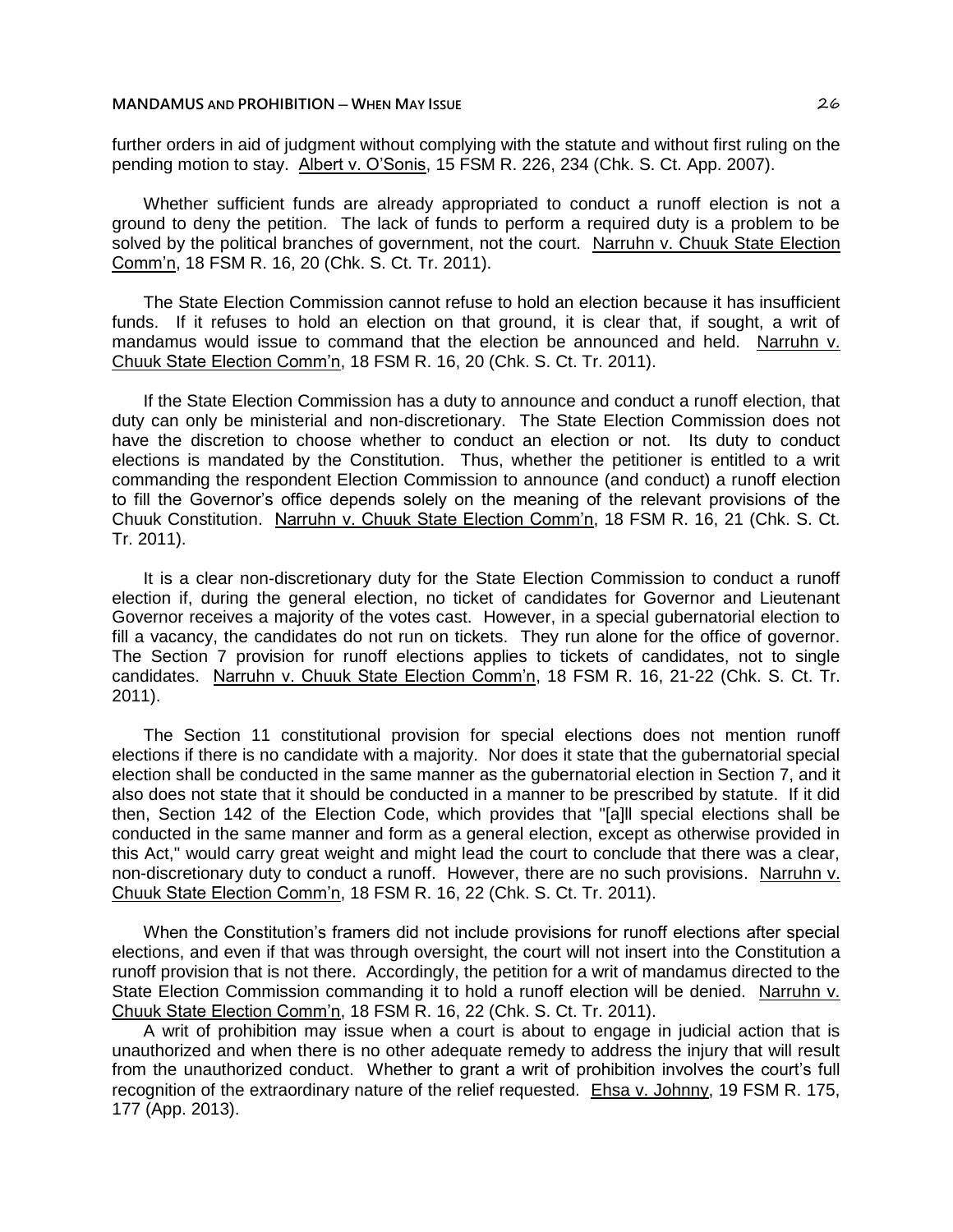further orders in aid of judgment without complying with the statute and without first ruling on the pending motion to stay. Albert v. O'Sonis, 15 FSM R. 226, 234 (Chk. S. Ct. App. 2007).

Whether sufficient funds are already appropriated to conduct a runoff election is not a ground to deny the petition. The lack of funds to perform a required duty is a problem to be solved by the political branches of government, not the court. Narruhn v. Chuuk State Election Comm'n, 18 FSM R. 16, 20 (Chk. S. Ct. Tr. 2011).

The State Election Commission cannot refuse to hold an election because it has insufficient funds. If it refuses to hold an election on that ground, it is clear that, if sought, a writ of mandamus would issue to command that the election be announced and held. Narruhn v. Chuuk State Election Comm'n, 18 FSM R. 16, 20 (Chk. S. Ct. Tr. 2011).

If the State Election Commission has a duty to announce and conduct a runoff election, that duty can only be ministerial and non-discretionary. The State Election Commission does not have the discretion to choose whether to conduct an election or not. Its duty to conduct elections is mandated by the Constitution. Thus, whether the petitioner is entitled to a writ commanding the respondent Election Commission to announce (and conduct) a runoff election to fill the Governor's office depends solely on the meaning of the relevant provisions of the Chuuk Constitution. Narruhn v. Chuuk State Election Comm'n, 18 FSM R. 16, 21 (Chk. S. Ct. Tr. 2011).

It is a clear non-discretionary duty for the State Election Commission to conduct a runoff election if, during the general election, no ticket of candidates for Governor and Lieutenant Governor receives a majority of the votes cast. However, in a special gubernatorial election to fill a vacancy, the candidates do not run on tickets. They run alone for the office of governor. The Section 7 provision for runoff elections applies to tickets of candidates, not to single candidates. Narruhn v. Chuuk State Election Comm'n, 18 FSM R. 16, 21-22 (Chk. S. Ct. Tr. 2011).

The Section 11 constitutional provision for special elections does not mention runoff elections if there is no candidate with a majority. Nor does it state that the gubernatorial special election shall be conducted in the same manner as the gubernatorial election in Section 7, and it also does not state that it should be conducted in a manner to be prescribed by statute. If it did then, Section 142 of the Election Code, which provides that "[a]ll special elections shall be conducted in the same manner and form as a general election, except as otherwise provided in this Act," would carry great weight and might lead the court to conclude that there was a clear, non-discretionary duty to conduct a runoff. However, there are no such provisions. Narruhn v. Chuuk State Election Comm'n, 18 FSM R. 16, 22 (Chk. S. Ct. Tr. 2011).

When the Constitution's framers did not include provisions for runoff elections after special elections, and even if that was through oversight, the court will not insert into the Constitution a runoff provision that is not there. Accordingly, the petition for a writ of mandamus directed to the State Election Commission commanding it to hold a runoff election will be denied. Narruhn v. Chuuk State Election Comm'n, 18 FSM R. 16, 22 (Chk. S. Ct. Tr. 2011).

A writ of prohibition may issue when a court is about to engage in judicial action that is unauthorized and when there is no other adequate remedy to address the injury that will result from the unauthorized conduct. Whether to grant a writ of prohibition involves the court's full recognition of the extraordinary nature of the relief requested. Ehsa v. Johnny, 19 FSM R. 175, 177 (App. 2013).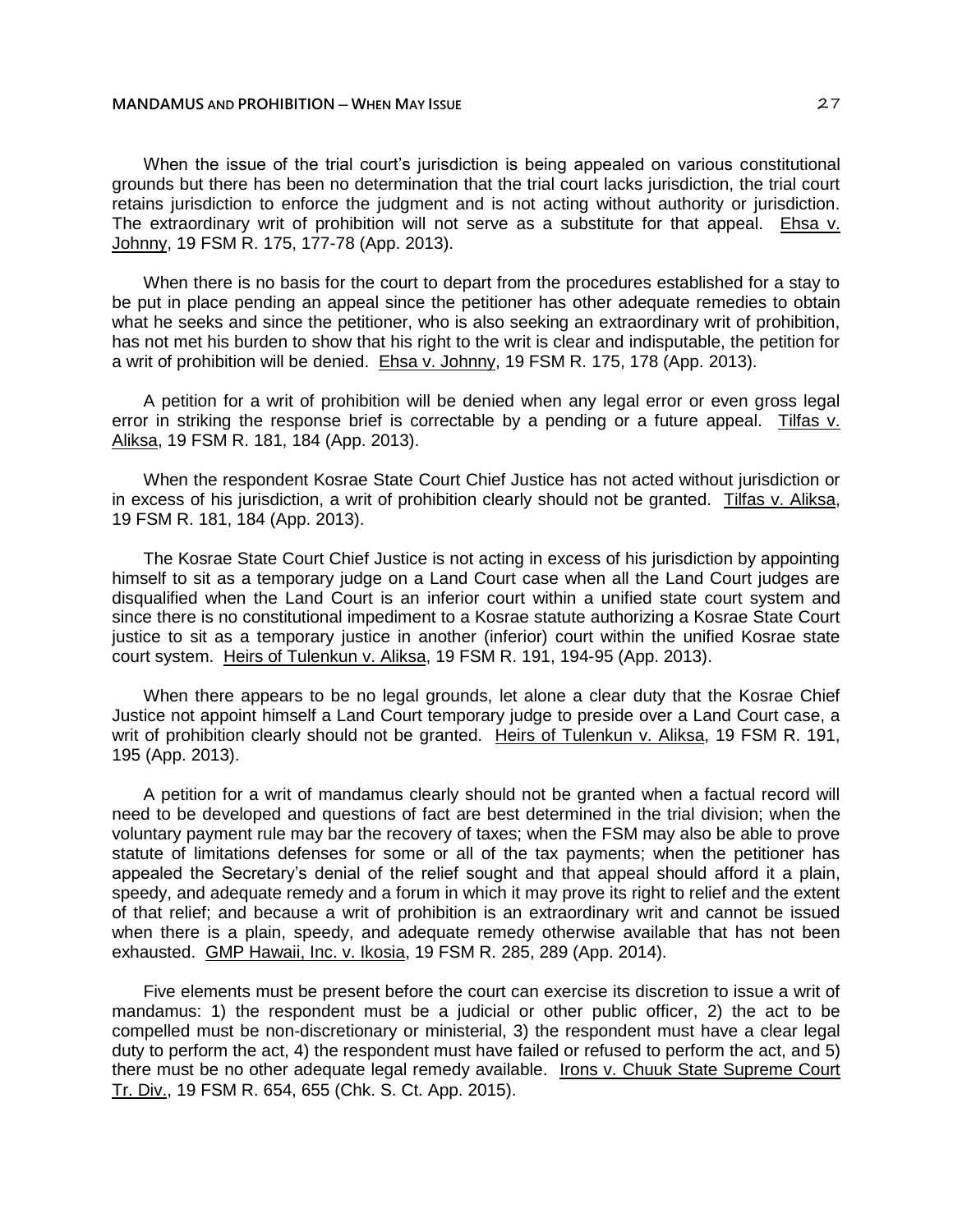When the issue of the trial court's jurisdiction is being appealed on various constitutional grounds but there has been no determination that the trial court lacks jurisdiction, the trial court retains jurisdiction to enforce the judgment and is not acting without authority or jurisdiction. The extraordinary writ of prohibition will not serve as a substitute for that appeal. Ehsa v. Johnny, 19 FSM R. 175, 177-78 (App. 2013).

When there is no basis for the court to depart from the procedures established for a stay to be put in place pending an appeal since the petitioner has other adequate remedies to obtain what he seeks and since the petitioner, who is also seeking an extraordinary writ of prohibition, has not met his burden to show that his right to the writ is clear and indisputable, the petition for a writ of prohibition will be denied. Ehsa v. Johnny, 19 FSM R. 175, 178 (App. 2013).

A petition for a writ of prohibition will be denied when any legal error or even gross legal error in striking the response brief is correctable by a pending or a future appeal. Tilfas v. Aliksa, 19 FSM R. 181, 184 (App. 2013).

When the respondent Kosrae State Court Chief Justice has not acted without jurisdiction or in excess of his jurisdiction, a writ of prohibition clearly should not be granted. Tilfas v. Aliksa, 19 FSM R. 181, 184 (App. 2013).

The Kosrae State Court Chief Justice is not acting in excess of his jurisdiction by appointing himself to sit as a temporary judge on a Land Court case when all the Land Court judges are disqualified when the Land Court is an inferior court within a unified state court system and since there is no constitutional impediment to a Kosrae statute authorizing a Kosrae State Court justice to sit as a temporary justice in another (inferior) court within the unified Kosrae state court system. Heirs of Tulenkun v. Aliksa, 19 FSM R. 191, 194-95 (App. 2013).

When there appears to be no legal grounds, let alone a clear duty that the Kosrae Chief Justice not appoint himself a Land Court temporary judge to preside over a Land Court case, a writ of prohibition clearly should not be granted. Heirs of Tulenkun v. Aliksa, 19 FSM R. 191, 195 (App. 2013).

A petition for a writ of mandamus clearly should not be granted when a factual record will need to be developed and questions of fact are best determined in the trial division; when the voluntary payment rule may bar the recovery of taxes; when the FSM may also be able to prove statute of limitations defenses for some or all of the tax payments; when the petitioner has appealed the Secretary's denial of the relief sought and that appeal should afford it a plain, speedy, and adequate remedy and a forum in which it may prove its right to relief and the extent of that relief; and because a writ of prohibition is an extraordinary writ and cannot be issued when there is a plain, speedy, and adequate remedy otherwise available that has not been exhausted. GMP Hawaii, Inc. v. Ikosia, 19 FSM R. 285, 289 (App. 2014).

Five elements must be present before the court can exercise its discretion to issue a writ of mandamus: 1) the respondent must be a judicial or other public officer, 2) the act to be compelled must be non-discretionary or ministerial, 3) the respondent must have a clear legal duty to perform the act, 4) the respondent must have failed or refused to perform the act, and 5) there must be no other adequate legal remedy available. Irons v. Chuuk State Supreme Court Tr. Div., 19 FSM R. 654, 655 (Chk. S. Ct. App. 2015).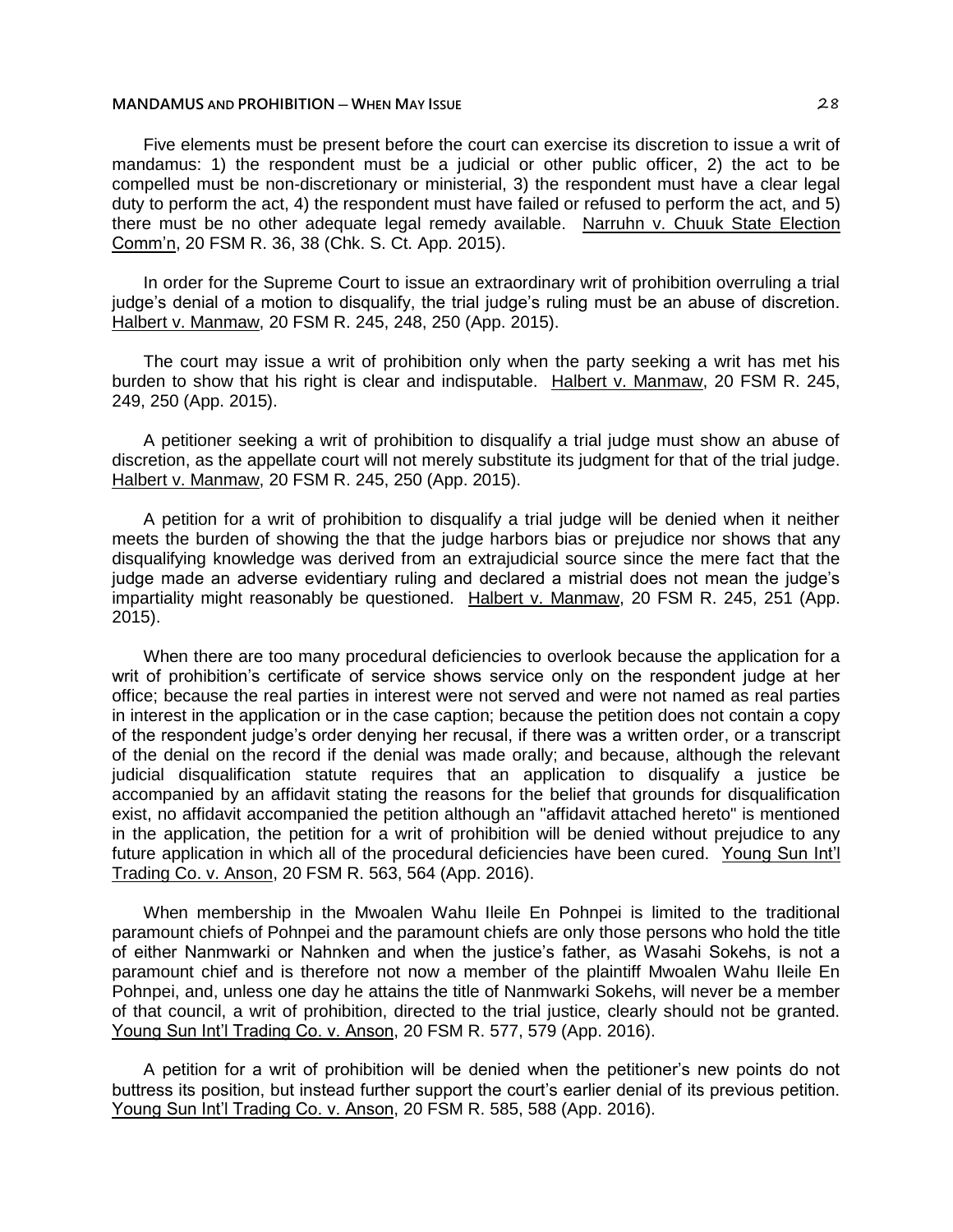Five elements must be present before the court can exercise its discretion to issue a writ of mandamus: 1) the respondent must be a judicial or other public officer, 2) the act to be compelled must be non-discretionary or ministerial, 3) the respondent must have a clear legal duty to perform the act, 4) the respondent must have failed or refused to perform the act, and 5) there must be no other adequate legal remedy available. Narruhn v. Chuuk State Election Comm'n, 20 FSM R. 36, 38 (Chk. S. Ct. App. 2015).

In order for the Supreme Court to issue an extraordinary writ of prohibition overruling a trial judge's denial of a motion to disqualify, the trial judge's ruling must be an abuse of discretion. Halbert v. Manmaw, 20 FSM R. 245, 248, 250 (App. 2015).

The court may issue a writ of prohibition only when the party seeking a writ has met his burden to show that his right is clear and indisputable. Halbert v. Manmaw, 20 FSM R. 245, 249, 250 (App. 2015).

A petitioner seeking a writ of prohibition to disqualify a trial judge must show an abuse of discretion, as the appellate court will not merely substitute its judgment for that of the trial judge. Halbert v. Manmaw, 20 FSM R. 245, 250 (App. 2015).

A petition for a writ of prohibition to disqualify a trial judge will be denied when it neither meets the burden of showing the that the judge harbors bias or prejudice nor shows that any disqualifying knowledge was derived from an extrajudicial source since the mere fact that the judge made an adverse evidentiary ruling and declared a mistrial does not mean the judge's impartiality might reasonably be questioned. Halbert v. Manmaw, 20 FSM R. 245, 251 (App. 2015).

When there are too many procedural deficiencies to overlook because the application for a writ of prohibition's certificate of service shows service only on the respondent judge at her office; because the real parties in interest were not served and were not named as real parties in interest in the application or in the case caption; because the petition does not contain a copy of the respondent judge's order denying her recusal, if there was a written order, or a transcript of the denial on the record if the denial was made orally; and because, although the relevant judicial disqualification statute requires that an application to disqualify a justice be accompanied by an affidavit stating the reasons for the belief that grounds for disqualification exist, no affidavit accompanied the petition although an "affidavit attached hereto" is mentioned in the application, the petition for a writ of prohibition will be denied without prejudice to any future application in which all of the procedural deficiencies have been cured. Young Sun Int'l Trading Co. v. Anson, 20 FSM R. 563, 564 (App. 2016).

When membership in the Mwoalen Wahu Ileile En Pohnpei is limited to the traditional paramount chiefs of Pohnpei and the paramount chiefs are only those persons who hold the title of either Nanmwarki or Nahnken and when the justice's father, as Wasahi Sokehs, is not a paramount chief and is therefore not now a member of the plaintiff Mwoalen Wahu Ileile En Pohnpei, and, unless one day he attains the title of Nanmwarki Sokehs, will never be a member of that council, a writ of prohibition, directed to the trial justice, clearly should not be granted. Young Sun Int'l Trading Co. v. Anson, 20 FSM R. 577, 579 (App. 2016).

A petition for a writ of prohibition will be denied when the petitioner's new points do not buttress its position, but instead further support the court's earlier denial of its previous petition. Young Sun Int'l Trading Co. v. Anson, 20 FSM R. 585, 588 (App. 2016).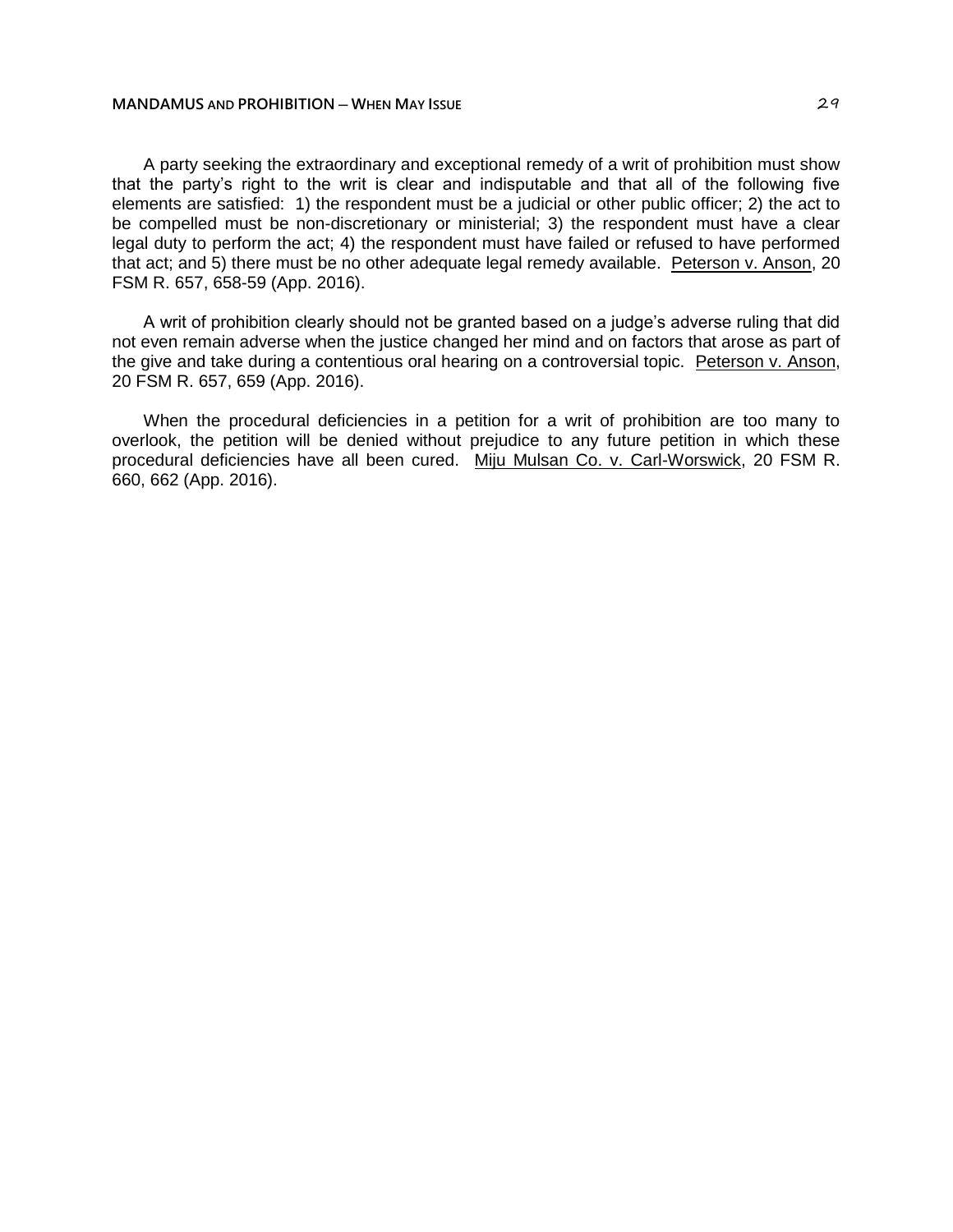# **MANDAMUS** AND **PROHIBITION** — **WHEN MAY ISSUE AND AND AND 29 29**

A party seeking the extraordinary and exceptional remedy of a writ of prohibition must show that the party's right to the writ is clear and indisputable and that all of the following five elements are satisfied: 1) the respondent must be a judicial or other public officer; 2) the act to be compelled must be non-discretionary or ministerial; 3) the respondent must have a clear legal duty to perform the act; 4) the respondent must have failed or refused to have performed that act; and 5) there must be no other adequate legal remedy available. Peterson v. Anson, 20 FSM R. 657, 658-59 (App. 2016).

A writ of prohibition clearly should not be granted based on a judge's adverse ruling that did not even remain adverse when the justice changed her mind and on factors that arose as part of the give and take during a contentious oral hearing on a controversial topic. Peterson v. Anson, 20 FSM R. 657, 659 (App. 2016).

When the procedural deficiencies in a petition for a writ of prohibition are too many to overlook, the petition will be denied without prejudice to any future petition in which these procedural deficiencies have all been cured. Miju Mulsan Co. v. Carl-Worswick, 20 FSM R. 660, 662 (App. 2016).